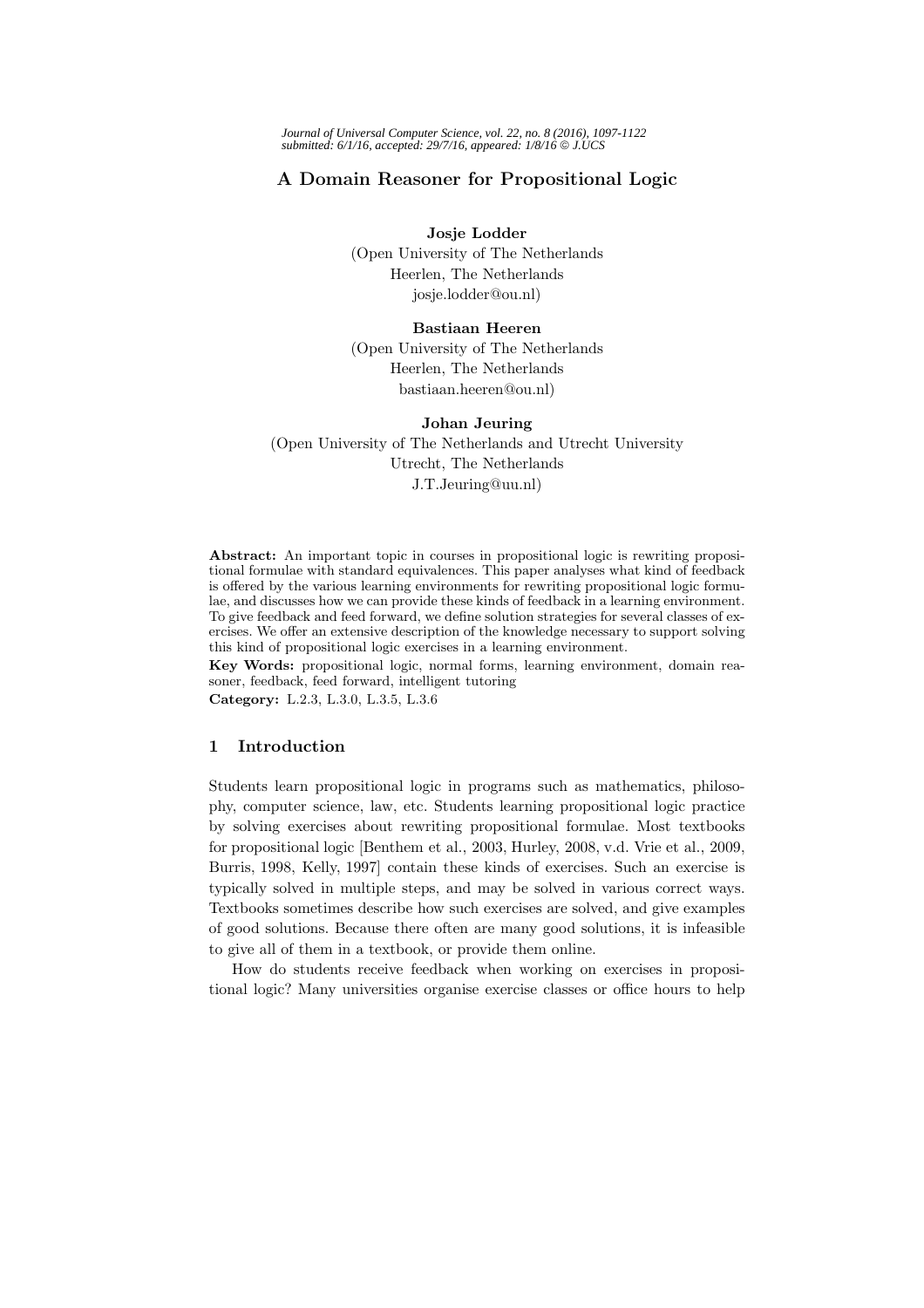*Journal of Universal Computer Science, vol. 22, no. 8 (2016), 1097-1122 submitted: 6/1/16, accepted: 29/7/16, appeared: 1/8/16* © *J.UCS*

# **A Domain Reasoner for Propositional Logic**

**Josje Lodder**

(Open University of The Netherlands Heerlen, The Netherlands josje.lodder@ou.nl)

# **Bastiaan Heeren**

(Open University of The Netherlands Heerlen, The Netherlands bastiaan.heeren@ou.nl)

# **Johan Jeuring** (Open University of The Netherlands and Utrecht University Utrecht, The Netherlands J.T.Jeuring@uu.nl)

**Abstract:** An important topic in courses in propositional logic is rewriting propositional formulae with standard equivalences. This paper analyses what kind of feedback is offered by the various learning environments for rewriting propositional logic formulae, and discusses how we can provide these kinds of feedback in a learning environment. To give feedback and feed forward, we define solution strategies for several classes of exercises. We offer an extensive description of the knowledge necessary to support solving this kind of propositional logic exercises in a learning environment.

**Key Words:** propositional logic, normal forms, learning environment, domain reasoner, feedback, feed forward, intelligent tutoring

**Category:** L.2.3, L.3.0, L.3.5, L.3.6

# **1 Introduction**

Students learn propositional logic in programs such as mathematics, philosophy, computer science, law, etc. Students learning propositional logic practice by solving exercises about rewriting propositional formulae. Most textbooks for propositional logic [Benthem et al., 2003, Hurley, 2008, v.d. Vrie et al., 2009, Burris, 1998, Kelly, 1997] contain these kinds of exercises. Such an exercise is typically solved in multiple steps, and may be solved in various correct ways. Textbooks sometimes describe how such exercises are solved, and give examples of good solutions. Because there often are many good solutions, it is infeasible to give all of them in a textbook, or provide them online.

How do students receive feedback when working on exercises in propositional logic? Many universities organise exercise classes or office hours to help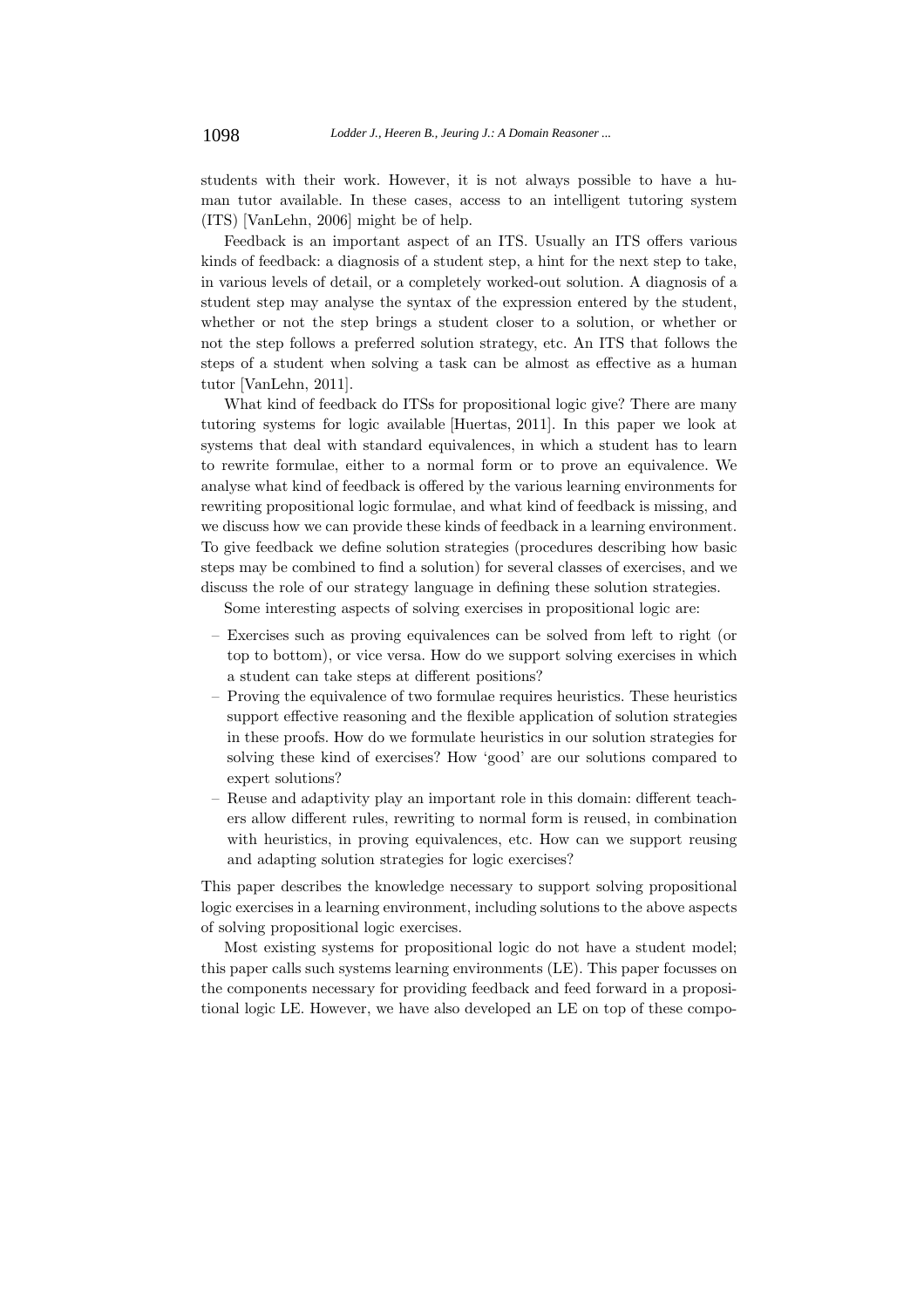students with their work. However, it is not always possible to have a human tutor available. In these cases, access to an intelligent tutoring system (ITS) [VanLehn, 2006] might be of help.

Feedback is an important aspect of an ITS. Usually an ITS offers various kinds of feedback: a diagnosis of a student step, a hint for the next step to take, in various levels of detail, or a completely worked-out solution. A diagnosis of a student step may analyse the syntax of the expression entered by the student, whether or not the step brings a student closer to a solution, or whether or not the step follows a preferred solution strategy, etc. An ITS that follows the steps of a student when solving a task can be almost as effective as a human tutor [VanLehn, 2011].

What kind of feedback do ITSs for propositional logic give? There are many tutoring systems for logic available [Huertas, 2011]. In this paper we look at systems that deal with standard equivalences, in which a student has to learn to rewrite formulae, either to a normal form or to prove an equivalence. We analyse what kind of feedback is offered by the various learning environments for rewriting propositional logic formulae, and what kind of feedback is missing, and we discuss how we can provide these kinds of feedback in a learning environment. To give feedback we define solution strategies (procedures describing how basic steps may be combined to find a solution) for several classes of exercises, and we discuss the role of our strategy language in defining these solution strategies.

Some interesting aspects of solving exercises in propositional logic are:

- Exercises such as proving equivalences can be solved from left to right (or top to bottom), or vice versa. How do we support solving exercises in which a student can take steps at different positions?
- Proving the equivalence of two formulae requires heuristics. These heuristics support effective reasoning and the flexible application of solution strategies in these proofs. How do we formulate heuristics in our solution strategies for solving these kind of exercises? How 'good' are our solutions compared to expert solutions?
- Reuse and adaptivity play an important role in this domain: different teachers allow different rules, rewriting to normal form is reused, in combination with heuristics, in proving equivalences, etc. How can we support reusing and adapting solution strategies for logic exercises?

This paper describes the knowledge necessary to support solving propositional logic exercises in a learning environment, including solutions to the above aspects of solving propositional logic exercises.

Most existing systems for propositional logic do not have a student model; this paper calls such systems learning environments (LE). This paper focusses on the components necessary for providing feedback and feed forward in a propositional logic LE. However, we have also developed an LE on top of these compo-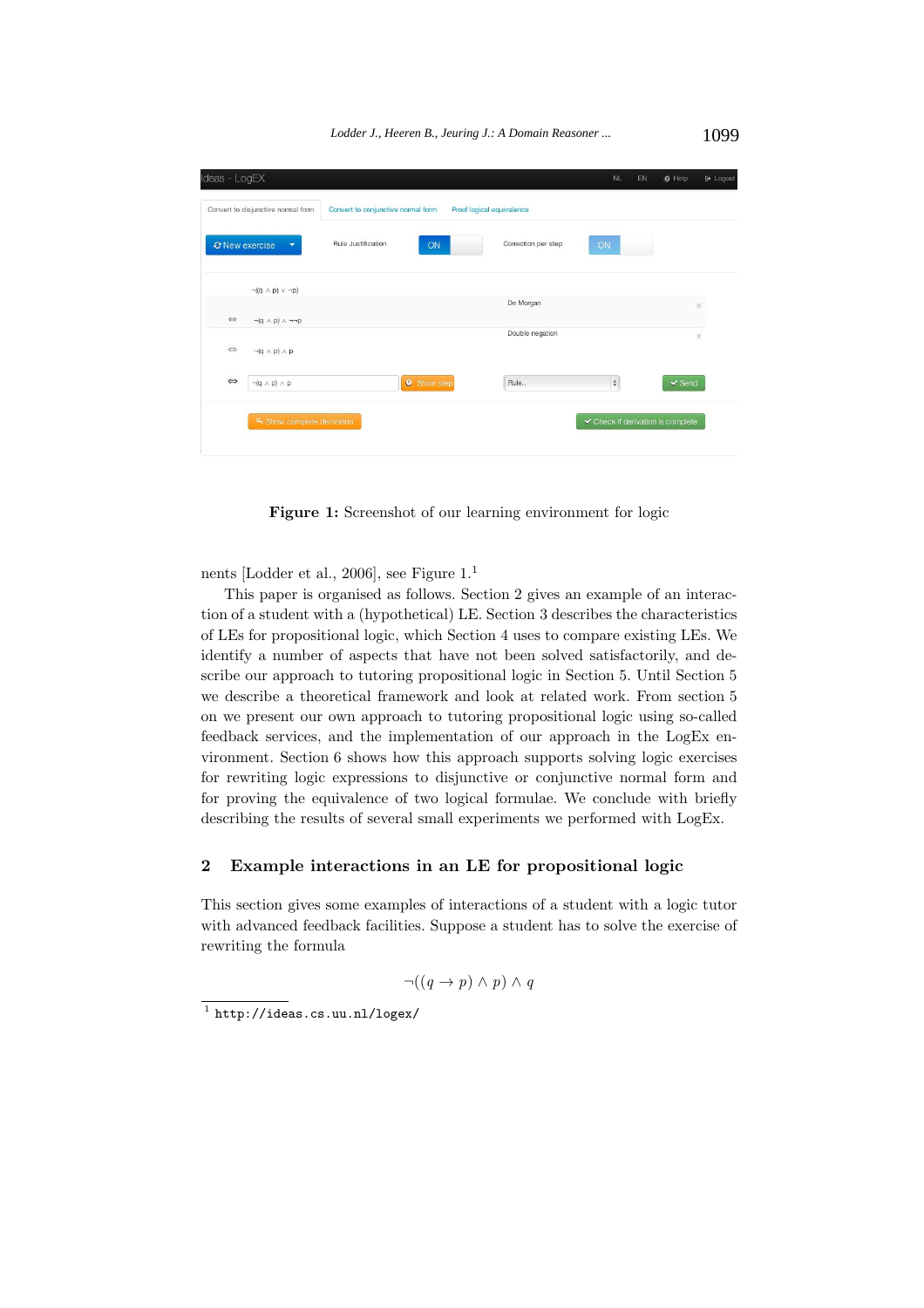

**Figure 1:** Screenshot of our learning environment for logic

nents [Lodder et al., 2006], see Figure 1.<sup>1</sup>

This paper is organised as follows. Section 2 gives an example of an interaction of a student with a (hypothetical) LE. Section 3 describes the characteristics of LEs for propositional logic, which Section 4 uses to compare existing LEs. We identify a number of aspects that have not been solved satisfactorily, and describe our approach to tutoring propositional logic in Section 5. Until Section 5 we describe a theoretical framework and look at related work. From section 5 on we present our own approach to tutoring propositional logic using so-called feedback services, and the implementation of our approach in the LogEx environment. Section 6 shows how this approach supports solving logic exercises for rewriting logic expressions to disjunctive or conjunctive normal form and for proving the equivalence of two logical formulae. We conclude with briefly describing the results of several small experiments we performed with LogEx.

# **2 Example interactions in an LE for propositional logic**

This section gives some examples of interactions of a student with a logic tutor with advanced feedback facilities. Suppose a student has to solve the exercise of rewriting the formula

$$
\neg((q \to p) \land p) \land q
$$

<sup>1</sup> http://ideas.cs.uu.nl/logex/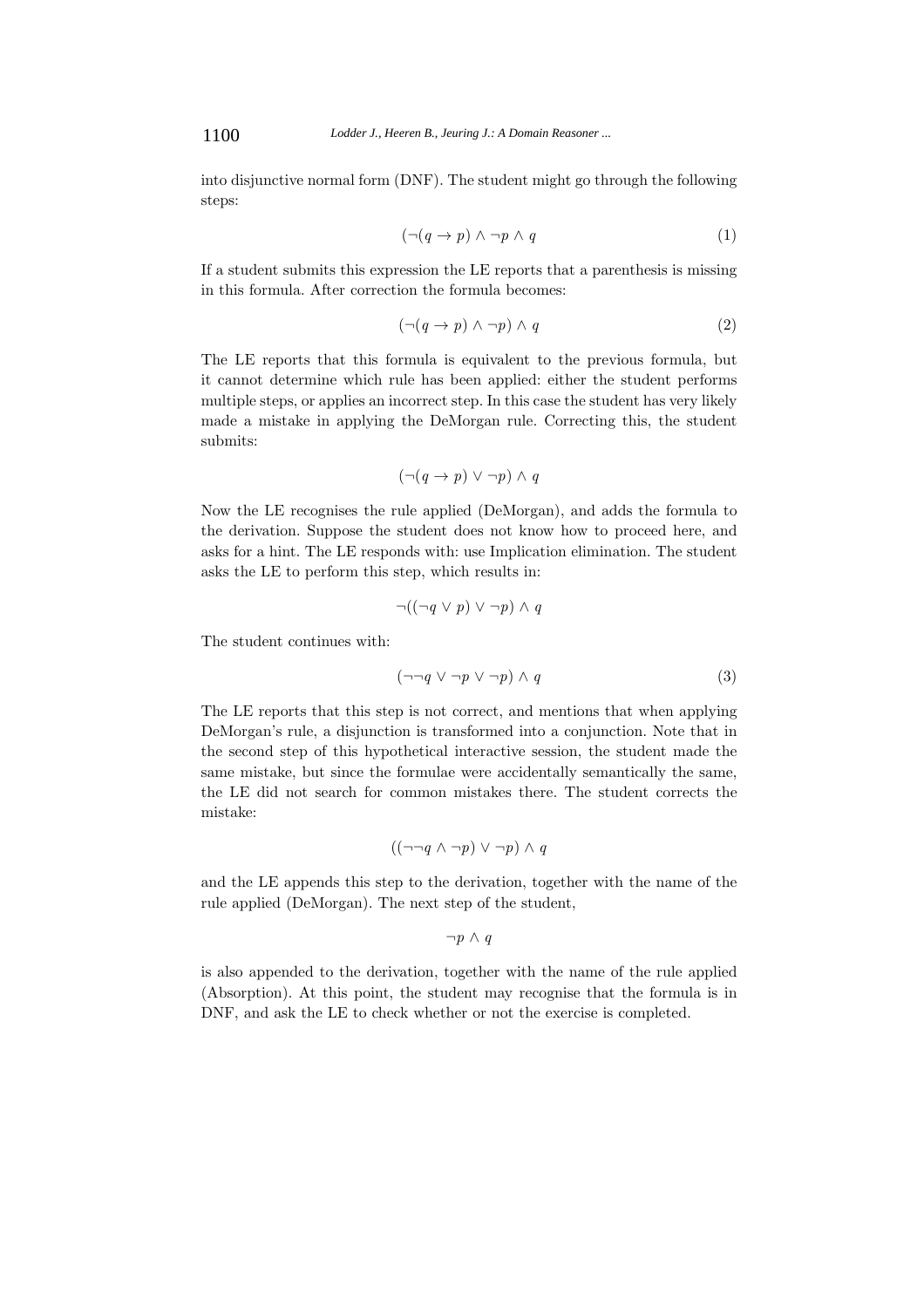into disjunctive normal form (DNF). The student might go through the following steps:

$$
(\neg (q \to p) \land \neg p \land q \tag{1}
$$

If a student submits this expression the LE reports that a parenthesis is missing in this formula. After correction the formula becomes:

$$
(\neg (q \to p) \land \neg p) \land q \tag{2}
$$

The LE reports that this formula is equivalent to the previous formula, but it cannot determine which rule has been applied: either the student performs multiple steps, or applies an incorrect step. In this case the student has very likely made a mistake in applying the DeMorgan rule. Correcting this, the student submits:

$$
(\neg (q \to p) \lor \neg p) \land q
$$

Now the LE recognises the rule applied (DeMorgan), and adds the formula to the derivation. Suppose the student does not know how to proceed here, and asks for a hint. The LE responds with: use Implication elimination. The student asks the LE to perform this step, which results in:

$$
\neg((\neg q \lor p) \lor \neg p) \land q
$$

The student continues with:

$$
(\neg\neg q \lor \neg p \lor \neg p) \land q \tag{3}
$$

The LE reports that this step is not correct, and mentions that when applying DeMorgan's rule, a disjunction is transformed into a conjunction. Note that in the second step of this hypothetical interactive session, the student made the same mistake, but since the formulae were accidentally semantically the same, the LE did not search for common mistakes there. The student corrects the mistake:

$$
((\neg\neg q \land \neg p) \lor \neg p) \land q
$$

and the LE appends this step to the derivation, together with the name of the rule applied (DeMorgan). The next step of the student,

 $\neg p \wedge q$ 

is also appended to the derivation, together with the name of the rule applied (Absorption). At this point, the student may recognise that the formula is in DNF, and ask the LE to check whether or not the exercise is completed.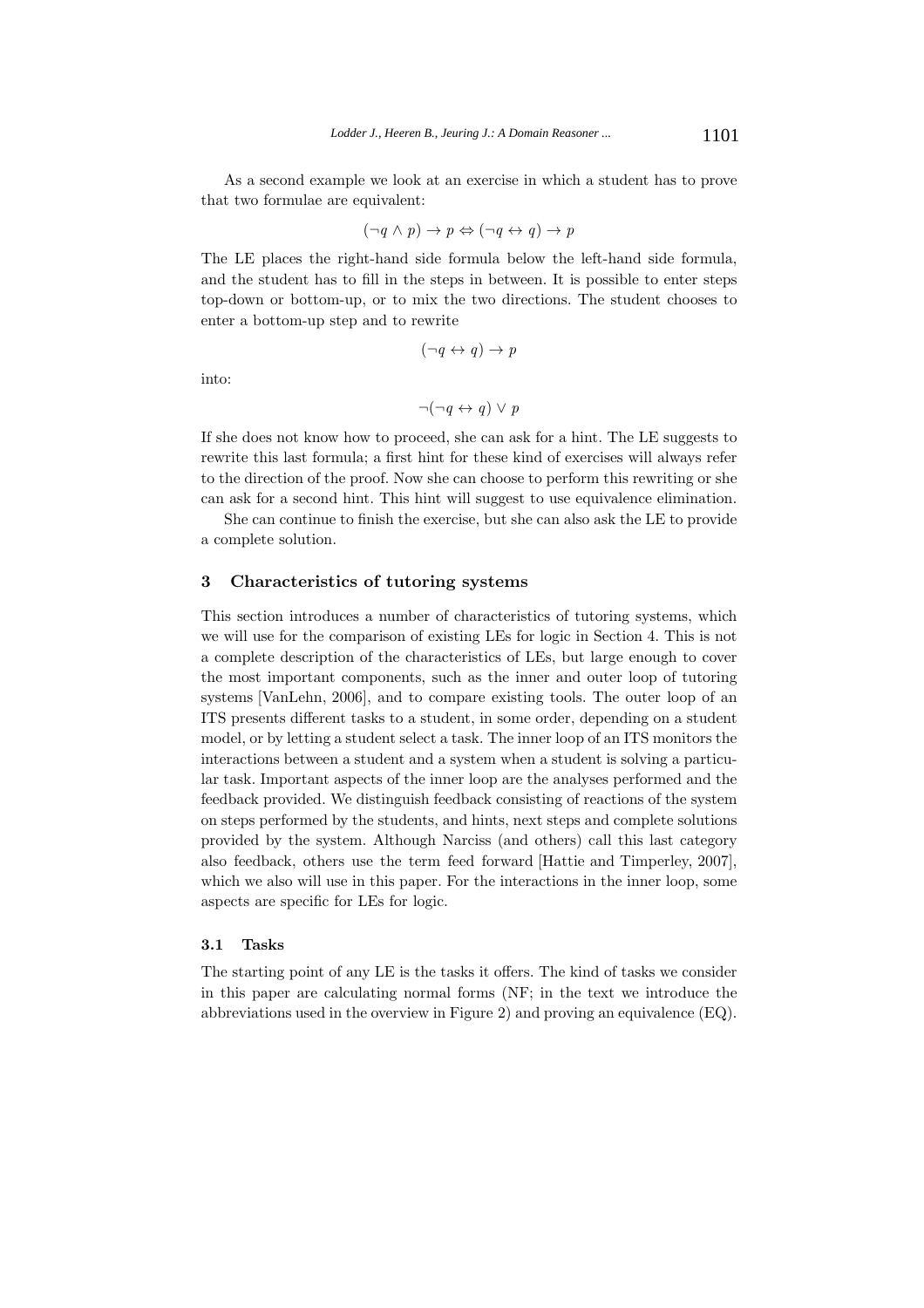As a second example we look at an exercise in which a student has to prove that two formulae are equivalent:

$$
(\neg q \land p) \to p \Leftrightarrow (\neg q \leftrightarrow q) \to p
$$

The LE places the right-hand side formula below the left-hand side formula, and the student has to fill in the steps in between. It is possible to enter steps top-down or bottom-up, or to mix the two directions. The student chooses to enter a bottom-up step and to rewrite

$$
(\neg q \leftrightarrow q) \rightarrow p
$$

into:

$$
\neg(\neg q \leftrightarrow q) \lor p
$$

If she does not know how to proceed, she can ask for a hint. The LE suggests to rewrite this last formula; a first hint for these kind of exercises will always refer to the direction of the proof. Now she can choose to perform this rewriting or she can ask for a second hint. This hint will suggest to use equivalence elimination.

She can continue to finish the exercise, but she can also ask the LE to provide a complete solution.

#### **3 Characteristics of tutoring systems**

This section introduces a number of characteristics of tutoring systems, which we will use for the comparison of existing LEs for logic in Section 4. This is not a complete description of the characteristics of LEs, but large enough to cover the most important components, such as the inner and outer loop of tutoring systems [VanLehn, 2006], and to compare existing tools. The outer loop of an ITS presents different tasks to a student, in some order, depending on a student model, or by letting a student select a task. The inner loop of an ITS monitors the interactions between a student and a system when a student is solving a particular task. Important aspects of the inner loop are the analyses performed and the feedback provided. We distinguish feedback consisting of reactions of the system on steps performed by the students, and hints, next steps and complete solutions provided by the system. Although Narciss (and others) call this last category also feedback, others use the term feed forward [Hattie and Timperley, 2007], which we also will use in this paper. For the interactions in the inner loop, some aspects are specific for LEs for logic.

#### **3.1 Tasks**

The starting point of any LE is the tasks it offers. The kind of tasks we consider in this paper are calculating normal forms (NF; in the text we introduce the abbreviations used in the overview in Figure 2) and proving an equivalence (EQ).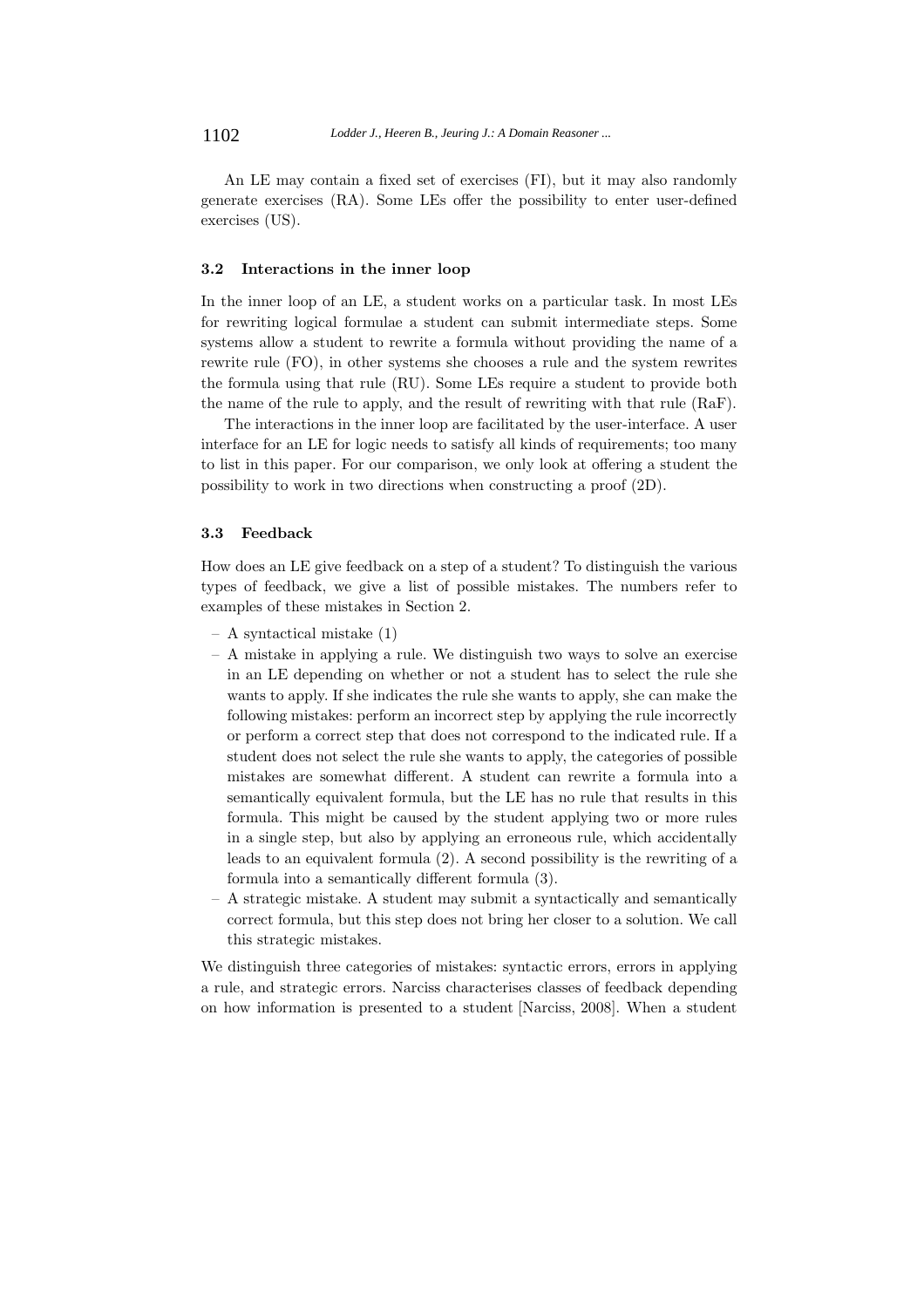An LE may contain a fixed set of exercises (FI), but it may also randomly generate exercises (RA). Some LEs offer the possibility to enter user-defined exercises (US).

#### **3.2 Interactions in the inner loop**

In the inner loop of an LE, a student works on a particular task. In most LEs for rewriting logical formulae a student can submit intermediate steps. Some systems allow a student to rewrite a formula without providing the name of a rewrite rule (FO), in other systems she chooses a rule and the system rewrites the formula using that rule (RU). Some LEs require a student to provide both the name of the rule to apply, and the result of rewriting with that rule (RaF).

The interactions in the inner loop are facilitated by the user-interface. A user interface for an LE for logic needs to satisfy all kinds of requirements; too many to list in this paper. For our comparison, we only look at offering a student the possibility to work in two directions when constructing a proof (2D).

#### **3.3 Feedback**

How does an LE give feedback on a step of a student? To distinguish the various types of feedback, we give a list of possible mistakes. The numbers refer to examples of these mistakes in Section 2.

- A syntactical mistake (1)
- A mistake in applying a rule. We distinguish two ways to solve an exercise in an LE depending on whether or not a student has to select the rule she wants to apply. If she indicates the rule she wants to apply, she can make the following mistakes: perform an incorrect step by applying the rule incorrectly or perform a correct step that does not correspond to the indicated rule. If a student does not select the rule she wants to apply, the categories of possible mistakes are somewhat different. A student can rewrite a formula into a semantically equivalent formula, but the LE has no rule that results in this formula. This might be caused by the student applying two or more rules in a single step, but also by applying an erroneous rule, which accidentally leads to an equivalent formula (2). A second possibility is the rewriting of a formula into a semantically different formula (3).
- A strategic mistake. A student may submit a syntactically and semantically correct formula, but this step does not bring her closer to a solution. We call this strategic mistakes.

We distinguish three categories of mistakes: syntactic errors, errors in applying a rule, and strategic errors. Narciss characterises classes of feedback depending on how information is presented to a student [Narciss, 2008]. When a student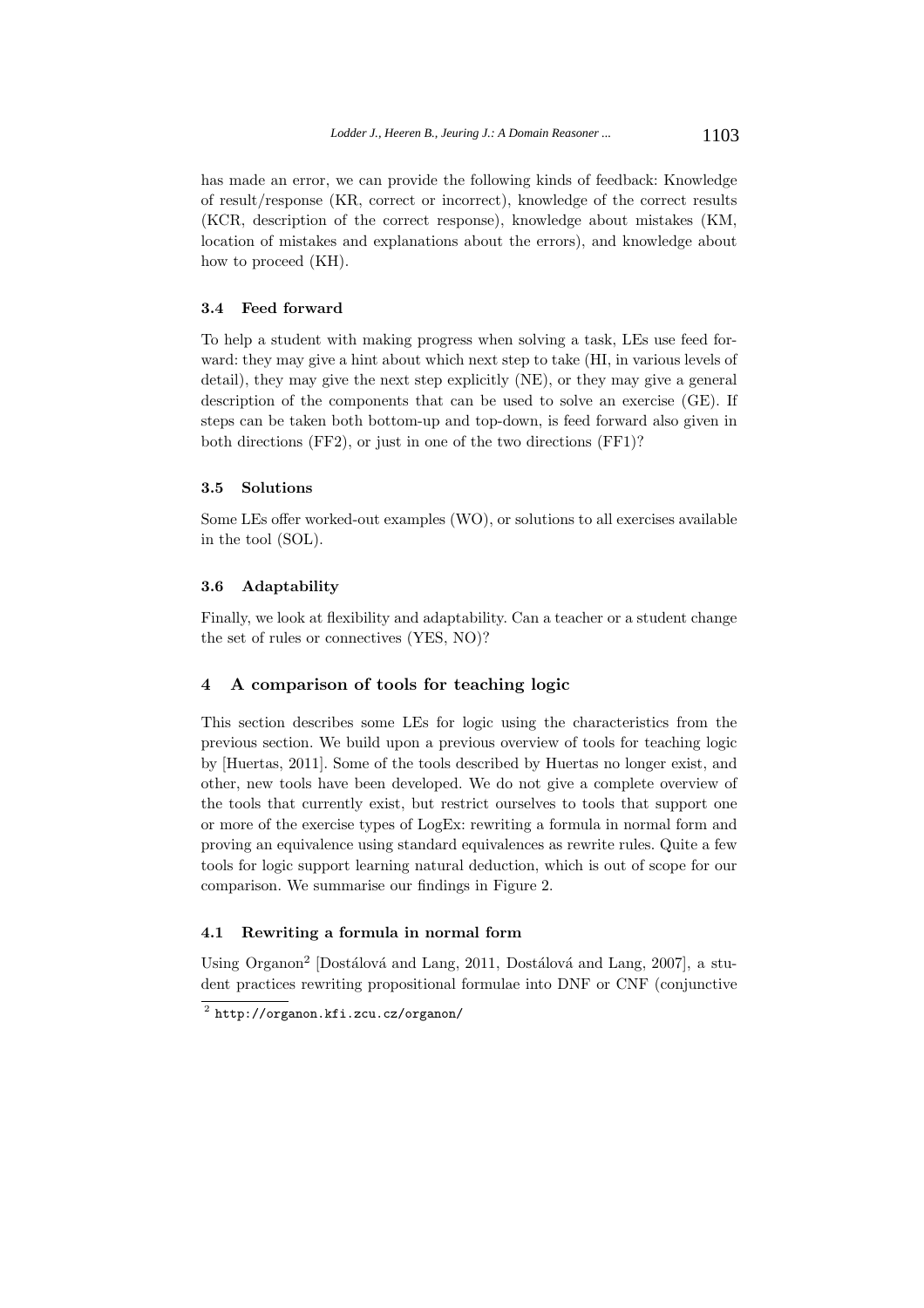has made an error, we can provide the following kinds of feedback: Knowledge of result/response (KR, correct or incorrect), knowledge of the correct results (KCR, description of the correct response), knowledge about mistakes (KM, location of mistakes and explanations about the errors), and knowledge about how to proceed (KH).

#### **3.4 Feed forward**

To help a student with making progress when solving a task, LEs use feed forward: they may give a hint about which next step to take (HI, in various levels of detail), they may give the next step explicitly (NE), or they may give a general description of the components that can be used to solve an exercise (GE). If steps can be taken both bottom-up and top-down, is feed forward also given in both directions (FF2), or just in one of the two directions (FF1)?

# **3.5 Solutions**

Some LEs offer worked-out examples (WO), or solutions to all exercises available in the tool (SOL).

#### **3.6 Adaptability**

Finally, we look at flexibility and adaptability. Can a teacher or a student change the set of rules or connectives (YES, NO)?

#### **4 A comparison of tools for teaching logic**

This section describes some LEs for logic using the characteristics from the previous section. We build upon a previous overview of tools for teaching logic by [Huertas, 2011]. Some of the tools described by Huertas no longer exist, and other, new tools have been developed. We do not give a complete overview of the tools that currently exist, but restrict ourselves to tools that support one or more of the exercise types of LogEx: rewriting a formula in normal form and proving an equivalence using standard equivalences as rewrite rules. Quite a few tools for logic support learning natural deduction, which is out of scope for our comparison. We summarise our findings in Figure 2.

#### **4.1 Rewriting a formula in normal form**

Using Organon<sup>2</sup> [Dostálová and Lang, 2011, Dostálová and Lang, 2007], a student practices rewriting propositional formulae into DNF or CNF (conjunctive

<sup>2</sup> http://organon.kfi.zcu.cz/organon/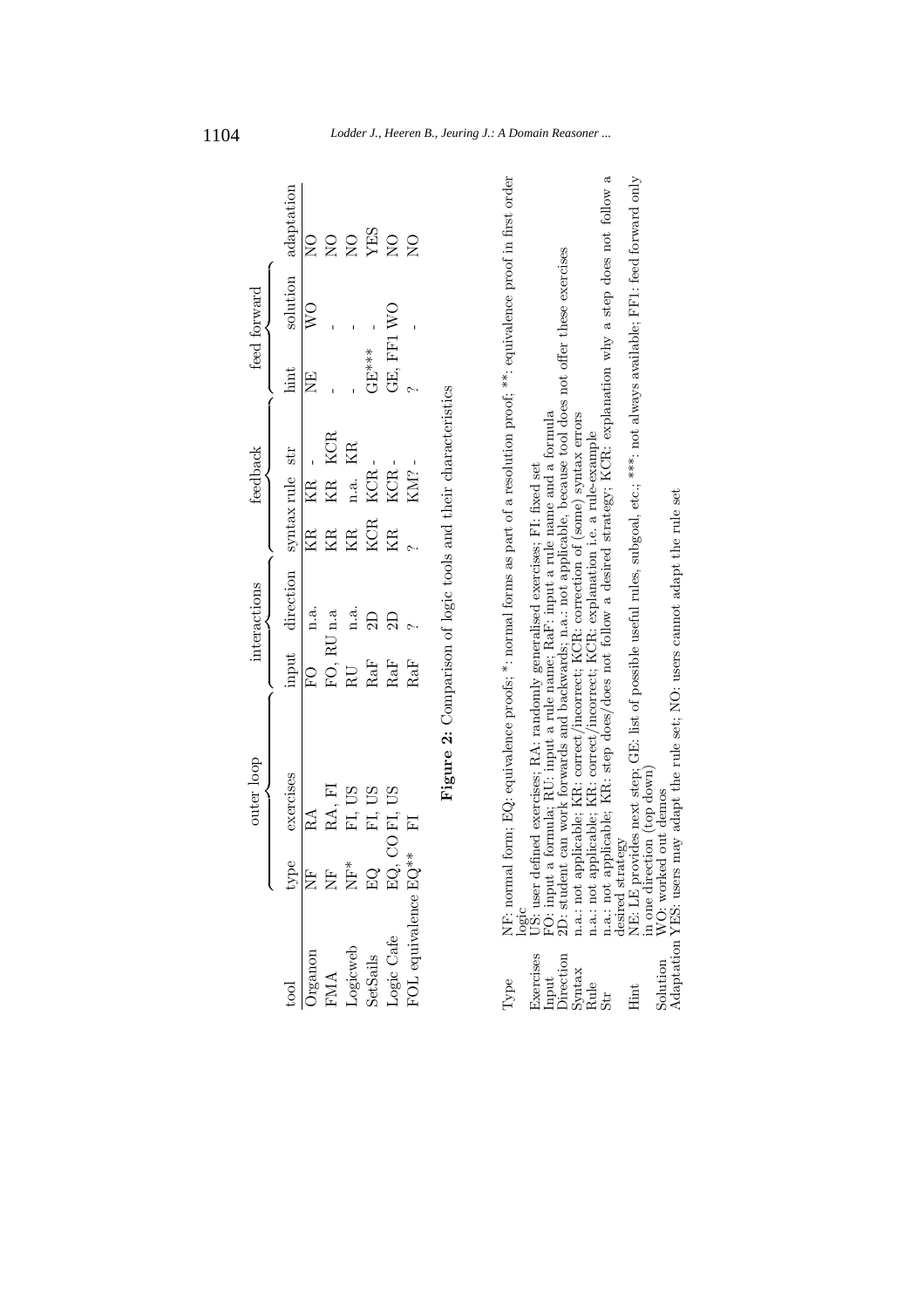|                             |                           | outer loop                                                                                                                                                                                                                             |              | interactions    |              | feedback        |         | feed forward   |                    |
|-----------------------------|---------------------------|----------------------------------------------------------------------------------------------------------------------------------------------------------------------------------------------------------------------------------------|--------------|-----------------|--------------|-----------------|---------|----------------|--------------------|
| tool                        |                           | exercises                                                                                                                                                                                                                              | input        | direction       |              | syntax rule str | hint    | solution       | adaptation         |
| $\overline{\rm{Organon}}$   |                           |                                                                                                                                                                                                                                        | $\mathbb{E}$ | n.a.            | $\mathbb{E}$ | KR              | Ë       | $\overline{N}$ | $\sum_{i=1}^{n}$   |
|                             |                           | $\begin{tabular}{ll} {\small \bf type} & exercise \\ \hline \text{NF} & \text{RA} \\ \text{NF} & \text{RA, FI} \\ \text{NF} & \text{FA, US} \\ \text{EQ} & \text{FI, US} \\ \text{EQ, CO, FI, US} \\ \end{tabular}$                    | FO, RU n.a   |                 | KR           | KR KCR          |         |                | $_{\rm Z}^{\rm O}$ |
| FMA<br>Logicweb<br>SetSails |                           |                                                                                                                                                                                                                                        | RU           | n.a.            | KR           | KR<br>n.a.      |         |                | $_{\rm Z}^{\rm O}$ |
|                             |                           |                                                                                                                                                                                                                                        | RaF          | $\overline{2D}$ | <b>KCR</b>   | <b>KCR</b>      | $GEM**$ |                | YES                |
| Logic Cafe                  |                           |                                                                                                                                                                                                                                        | RaF          | $\Xi$           | Ř            | $_{\rm KCR}$ -  |         | GE, FF1 WO     | $_{\rm Z}^{\rm O}$ |
|                             | FOL equivalence $EG^{**}$ | $\overline{F}$                                                                                                                                                                                                                         | RaF          |                 |              | KM? -           |         |                | $_{\rm N}^{\rm O}$ |
|                             |                           | <b>Figure 2:</b> Comparison of logic tools and their characteristics                                                                                                                                                                   |              |                 |              |                 |         |                |                    |
|                             |                           |                                                                                                                                                                                                                                        |              |                 |              |                 |         |                |                    |
|                             |                           | Type MF: normal form; EQ: equivalence pro6s; $*$ : normal forms as part of a resolution proof; $**$ : equivalence proof in first order<br>Exercises US: user defined exercises; RA: randomly generalised exercises; F!: fixed set<br>I |              |                 |              |                 |         |                |                    |
|                             |                           |                                                                                                                                                                                                                                        |              |                 |              |                 |         |                |                    |
|                             |                           |                                                                                                                                                                                                                                        |              |                 |              |                 |         |                |                    |
|                             |                           |                                                                                                                                                                                                                                        |              |                 |              |                 |         |                |                    |
|                             |                           |                                                                                                                                                                                                                                        |              |                 |              |                 |         |                |                    |
|                             |                           |                                                                                                                                                                                                                                        |              |                 |              |                 |         |                |                    |
|                             |                           |                                                                                                                                                                                                                                        |              |                 |              |                 |         |                |                    |

# 1104 *Lodder J., Heeren B., Jeuring J.: A Domain Reasoner ...*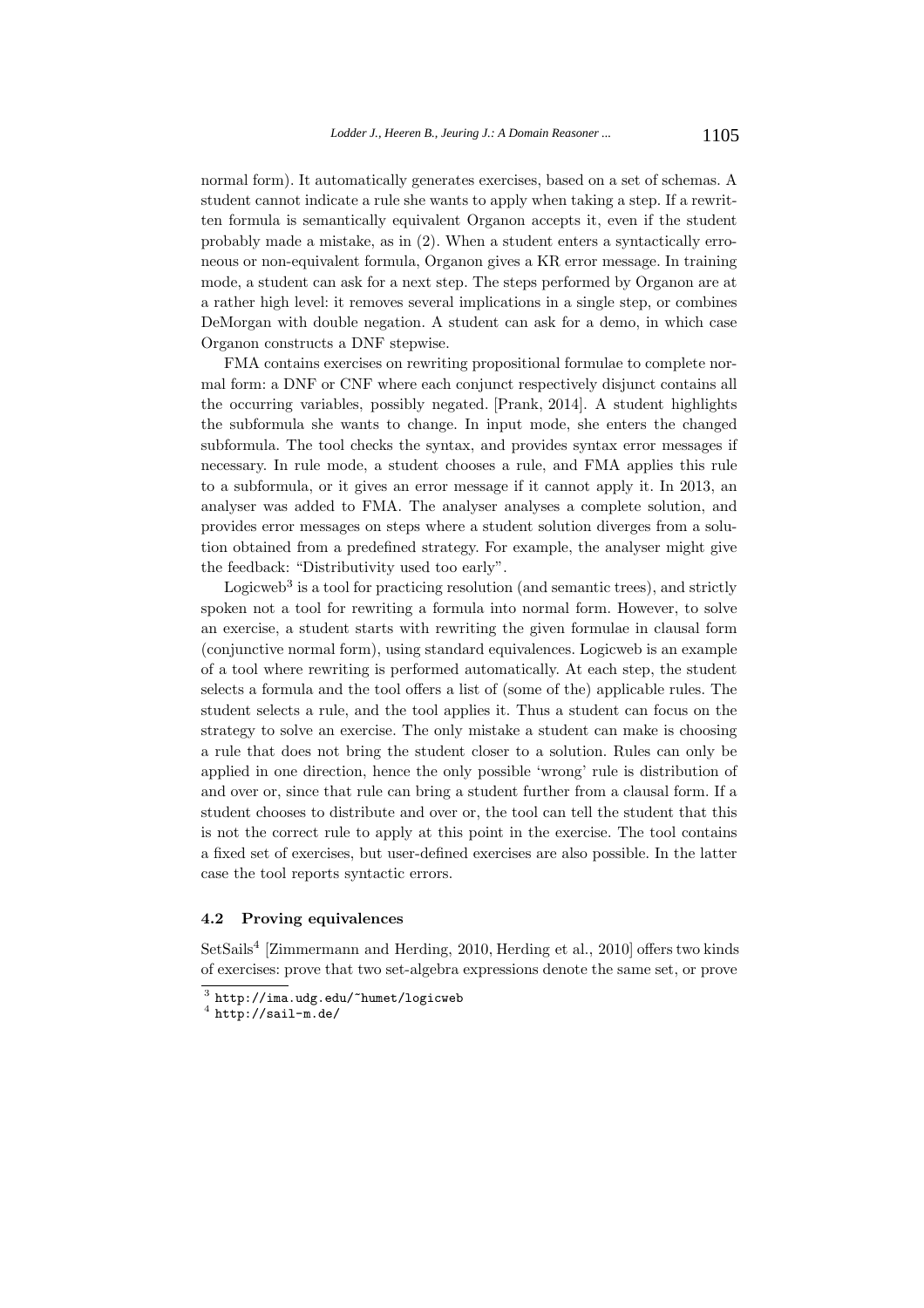normal form). It automatically generates exercises, based on a set of schemas. A student cannot indicate a rule she wants to apply when taking a step. If a rewritten formula is semantically equivalent Organon accepts it, even if the student probably made a mistake, as in (2). When a student enters a syntactically erroneous or non-equivalent formula, Organon gives a KR error message. In training mode, a student can ask for a next step. The steps performed by Organon are at a rather high level: it removes several implications in a single step, or combines DeMorgan with double negation. A student can ask for a demo, in which case Organon constructs a DNF stepwise.

FMA contains exercises on rewriting propositional formulae to complete normal form: a DNF or CNF where each conjunct respectively disjunct contains all the occurring variables, possibly negated. [Prank, 2014]. A student highlights the subformula she wants to change. In input mode, she enters the changed subformula. The tool checks the syntax, and provides syntax error messages if necessary. In rule mode, a student chooses a rule, and FMA applies this rule to a subformula, or it gives an error message if it cannot apply it. In 2013, an analyser was added to FMA. The analyser analyses a complete solution, and provides error messages on steps where a student solution diverges from a solution obtained from a predefined strategy. For example, the analyser might give the feedback: "Distributivity used too early".

Logicweb<sup>3</sup> is a tool for practicing resolution (and semantic trees), and strictly spoken not a tool for rewriting a formula into normal form. However, to solve an exercise, a student starts with rewriting the given formulae in clausal form (conjunctive normal form), using standard equivalences. Logicweb is an example of a tool where rewriting is performed automatically. At each step, the student selects a formula and the tool offers a list of (some of the) applicable rules. The student selects a rule, and the tool applies it. Thus a student can focus on the strategy to solve an exercise. The only mistake a student can make is choosing a rule that does not bring the student closer to a solution. Rules can only be applied in one direction, hence the only possible 'wrong' rule is distribution of and over or, since that rule can bring a student further from a clausal form. If a student chooses to distribute and over or, the tool can tell the student that this is not the correct rule to apply at this point in the exercise. The tool contains a fixed set of exercises, but user-defined exercises are also possible. In the latter case the tool reports syntactic errors.

#### **4.2 Proving equivalences**

SetSails<sup>4</sup> [Zimmermann and Herding, 2010, Herding et al., 2010] offers two kinds of exercises: prove that two set-algebra expressions denote the same set, or prove

 $^3$ http://ima.udg.edu/~humet/logicweb  $^4$  http://sail-m.de/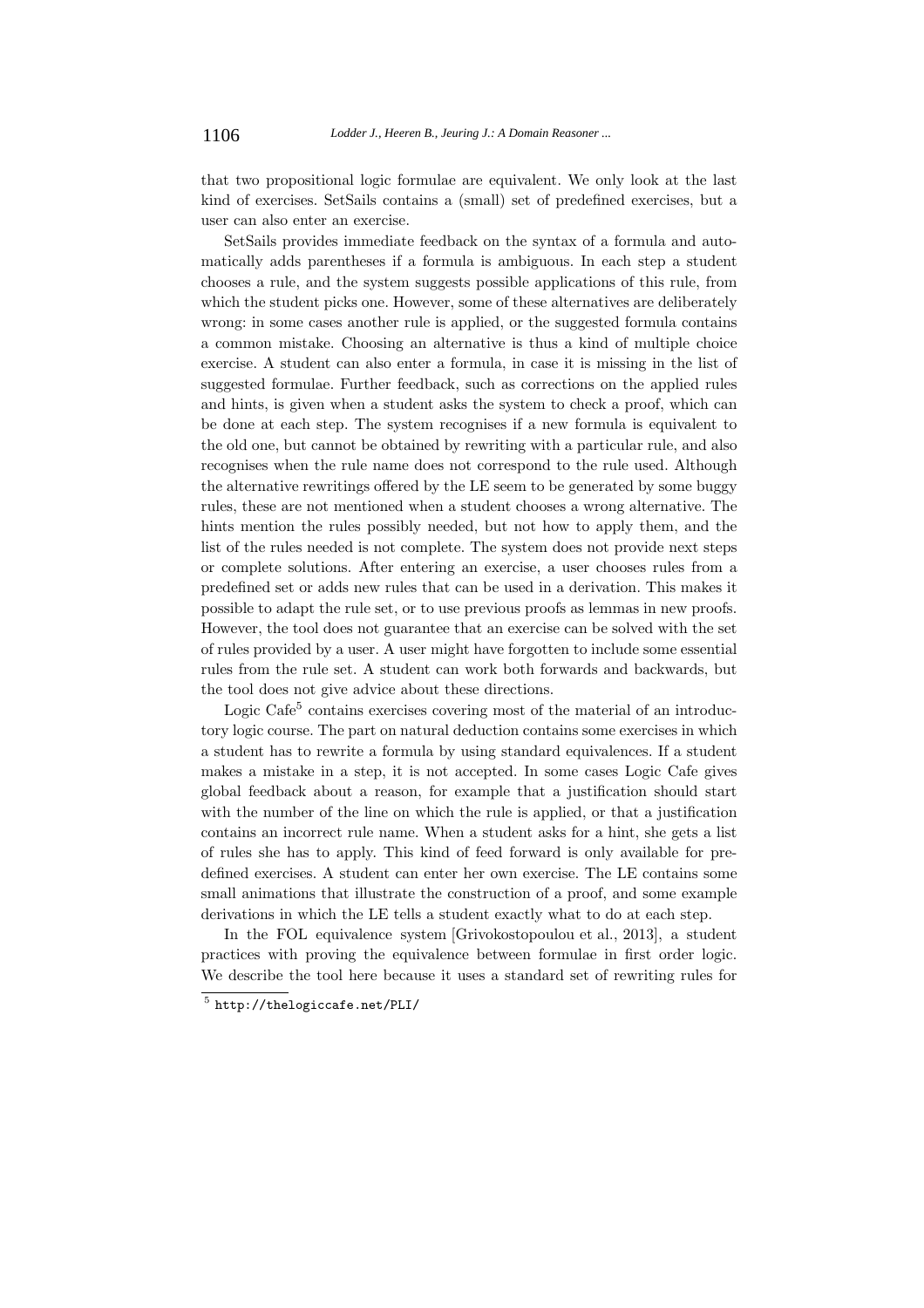that two propositional logic formulae are equivalent. We only look at the last kind of exercises. SetSails contains a (small) set of predefined exercises, but a user can also enter an exercise.

SetSails provides immediate feedback on the syntax of a formula and automatically adds parentheses if a formula is ambiguous. In each step a student chooses a rule, and the system suggests possible applications of this rule, from which the student picks one. However, some of these alternatives are deliberately wrong: in some cases another rule is applied, or the suggested formula contains a common mistake. Choosing an alternative is thus a kind of multiple choice exercise. A student can also enter a formula, in case it is missing in the list of suggested formulae. Further feedback, such as corrections on the applied rules and hints, is given when a student asks the system to check a proof, which can be done at each step. The system recognises if a new formula is equivalent to the old one, but cannot be obtained by rewriting with a particular rule, and also recognises when the rule name does not correspond to the rule used. Although the alternative rewritings offered by the LE seem to be generated by some buggy rules, these are not mentioned when a student chooses a wrong alternative. The hints mention the rules possibly needed, but not how to apply them, and the list of the rules needed is not complete. The system does not provide next steps or complete solutions. After entering an exercise, a user chooses rules from a predefined set or adds new rules that can be used in a derivation. This makes it possible to adapt the rule set, or to use previous proofs as lemmas in new proofs. However, the tool does not guarantee that an exercise can be solved with the set of rules provided by a user. A user might have forgotten to include some essential rules from the rule set. A student can work both forwards and backwards, but the tool does not give advice about these directions.

Logic Cafe<sup>5</sup> contains exercises covering most of the material of an introductory logic course. The part on natural deduction contains some exercises in which a student has to rewrite a formula by using standard equivalences. If a student makes a mistake in a step, it is not accepted. In some cases Logic Cafe gives global feedback about a reason, for example that a justification should start with the number of the line on which the rule is applied, or that a justification contains an incorrect rule name. When a student asks for a hint, she gets a list of rules she has to apply. This kind of feed forward is only available for predefined exercises. A student can enter her own exercise. The LE contains some small animations that illustrate the construction of a proof, and some example derivations in which the LE tells a student exactly what to do at each step.

In the FOL equivalence system [Grivokostopoulou et al., 2013], a student practices with proving the equivalence between formulae in first order logic. We describe the tool here because it uses a standard set of rewriting rules for

<sup>5</sup> http://thelogiccafe.net/PLI/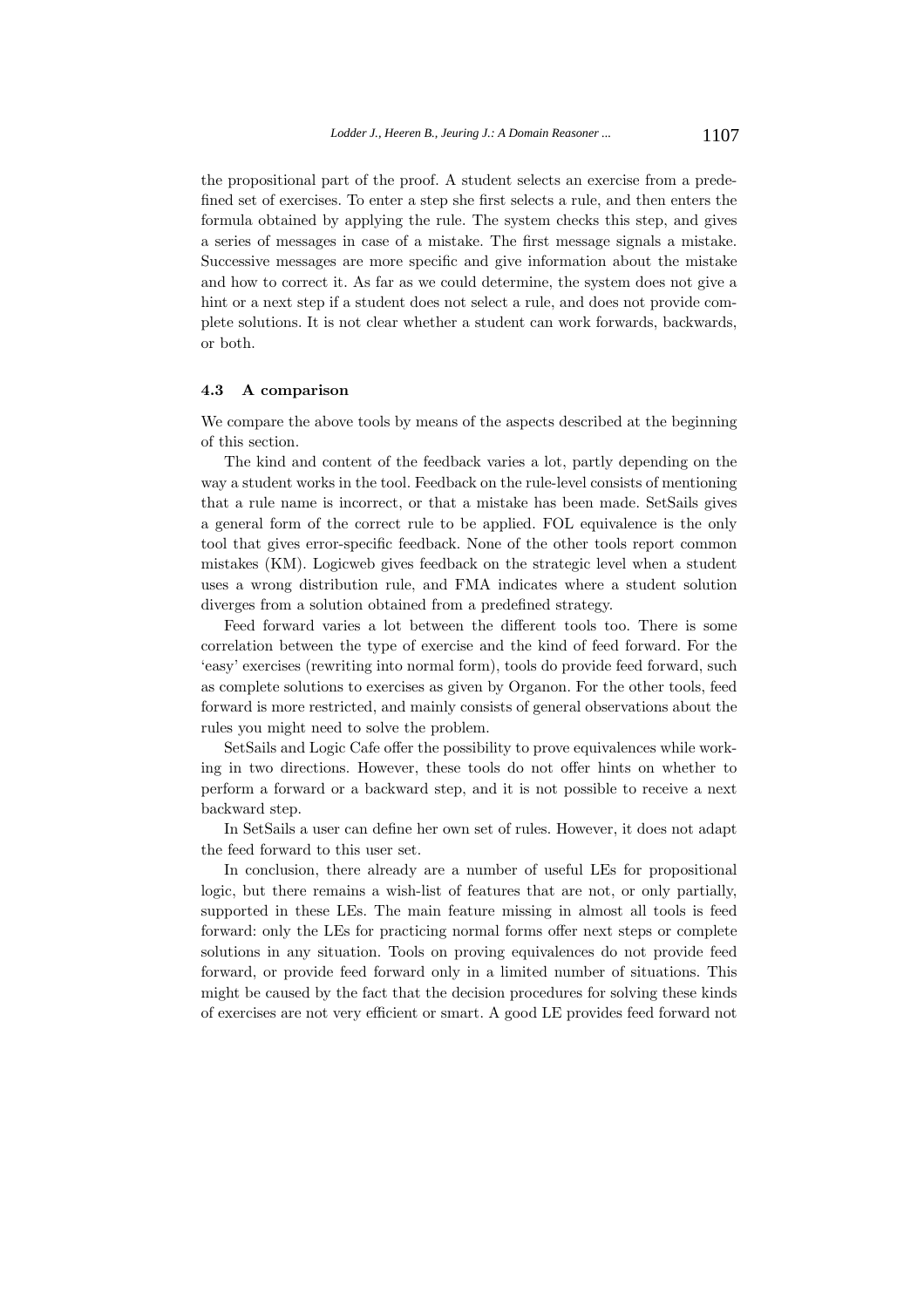the propositional part of the proof. A student selects an exercise from a predefined set of exercises. To enter a step she first selects a rule, and then enters the formula obtained by applying the rule. The system checks this step, and gives a series of messages in case of a mistake. The first message signals a mistake. Successive messages are more specific and give information about the mistake and how to correct it. As far as we could determine, the system does not give a hint or a next step if a student does not select a rule, and does not provide complete solutions. It is not clear whether a student can work forwards, backwards, or both.

#### **4.3 A comparison**

We compare the above tools by means of the aspects described at the beginning of this section.

The kind and content of the feedback varies a lot, partly depending on the way a student works in the tool. Feedback on the rule-level consists of mentioning that a rule name is incorrect, or that a mistake has been made. SetSails gives a general form of the correct rule to be applied. FOL equivalence is the only tool that gives error-specific feedback. None of the other tools report common mistakes (KM). Logicweb gives feedback on the strategic level when a student uses a wrong distribution rule, and FMA indicates where a student solution diverges from a solution obtained from a predefined strategy.

Feed forward varies a lot between the different tools too. There is some correlation between the type of exercise and the kind of feed forward. For the 'easy' exercises (rewriting into normal form), tools do provide feed forward, such as complete solutions to exercises as given by Organon. For the other tools, feed forward is more restricted, and mainly consists of general observations about the rules you might need to solve the problem.

SetSails and Logic Cafe offer the possibility to prove equivalences while working in two directions. However, these tools do not offer hints on whether to perform a forward or a backward step, and it is not possible to receive a next backward step.

In SetSails a user can define her own set of rules. However, it does not adapt the feed forward to this user set.

In conclusion, there already are a number of useful LEs for propositional logic, but there remains a wish-list of features that are not, or only partially, supported in these LEs. The main feature missing in almost all tools is feed forward: only the LEs for practicing normal forms offer next steps or complete solutions in any situation. Tools on proving equivalences do not provide feed forward, or provide feed forward only in a limited number of situations. This might be caused by the fact that the decision procedures for solving these kinds of exercises are not very efficient or smart. A good LE provides feed forward not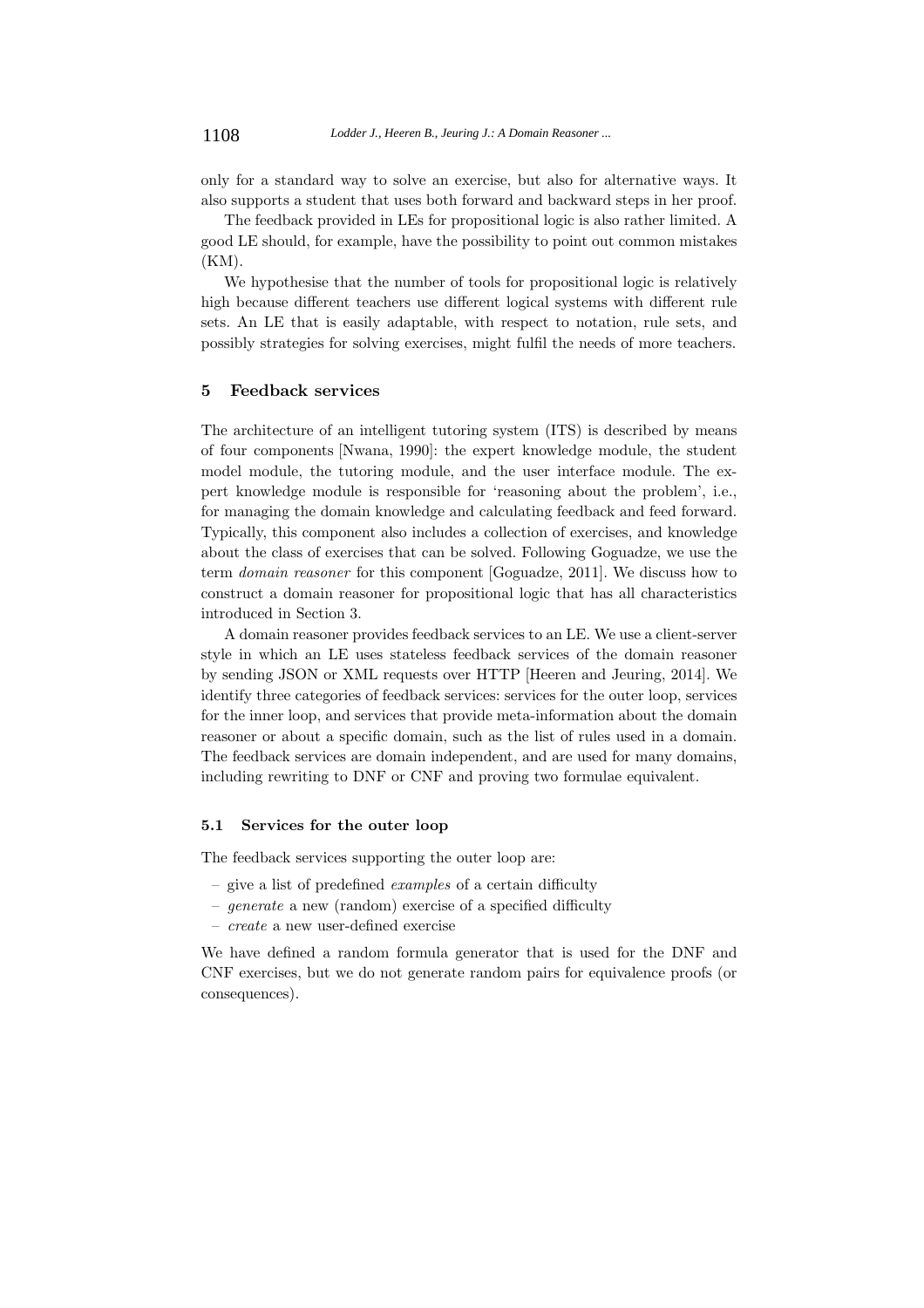only for a standard way to solve an exercise, but also for alternative ways. It also supports a student that uses both forward and backward steps in her proof.

The feedback provided in LEs for propositional logic is also rather limited. A good LE should, for example, have the possibility to point out common mistakes (KM).

We hypothesise that the number of tools for propositional logic is relatively high because different teachers use different logical systems with different rule sets. An LE that is easily adaptable, with respect to notation, rule sets, and possibly strategies for solving exercises, might fulfil the needs of more teachers.

#### **5 Feedback services**

The architecture of an intelligent tutoring system (ITS) is described by means of four components [Nwana, 1990]: the expert knowledge module, the student model module, the tutoring module, and the user interface module. The expert knowledge module is responsible for 'reasoning about the problem', i.e., for managing the domain knowledge and calculating feedback and feed forward. Typically, this component also includes a collection of exercises, and knowledge about the class of exercises that can be solved. Following Goguadze, we use the term domain reasoner for this component [Goguadze, 2011]. We discuss how to construct a domain reasoner for propositional logic that has all characteristics introduced in Section 3.

A domain reasoner provides feedback services to an LE. We use a client-server style in which an LE uses stateless feedback services of the domain reasoner by sending JSON or XML requests over HTTP [Heeren and Jeuring, 2014]. We identify three categories of feedback services: services for the outer loop, services for the inner loop, and services that provide meta-information about the domain reasoner or about a specific domain, such as the list of rules used in a domain. The feedback services are domain independent, and are used for many domains, including rewriting to DNF or CNF and proving two formulae equivalent.

#### **5.1 Services for the outer loop**

The feedback services supporting the outer loop are:

- give a list of predefined examples of a certain difficulty
- generate a new (random) exercise of a specified difficulty
- create a new user-defined exercise

We have defined a random formula generator that is used for the DNF and CNF exercises, but we do not generate random pairs for equivalence proofs (or consequences).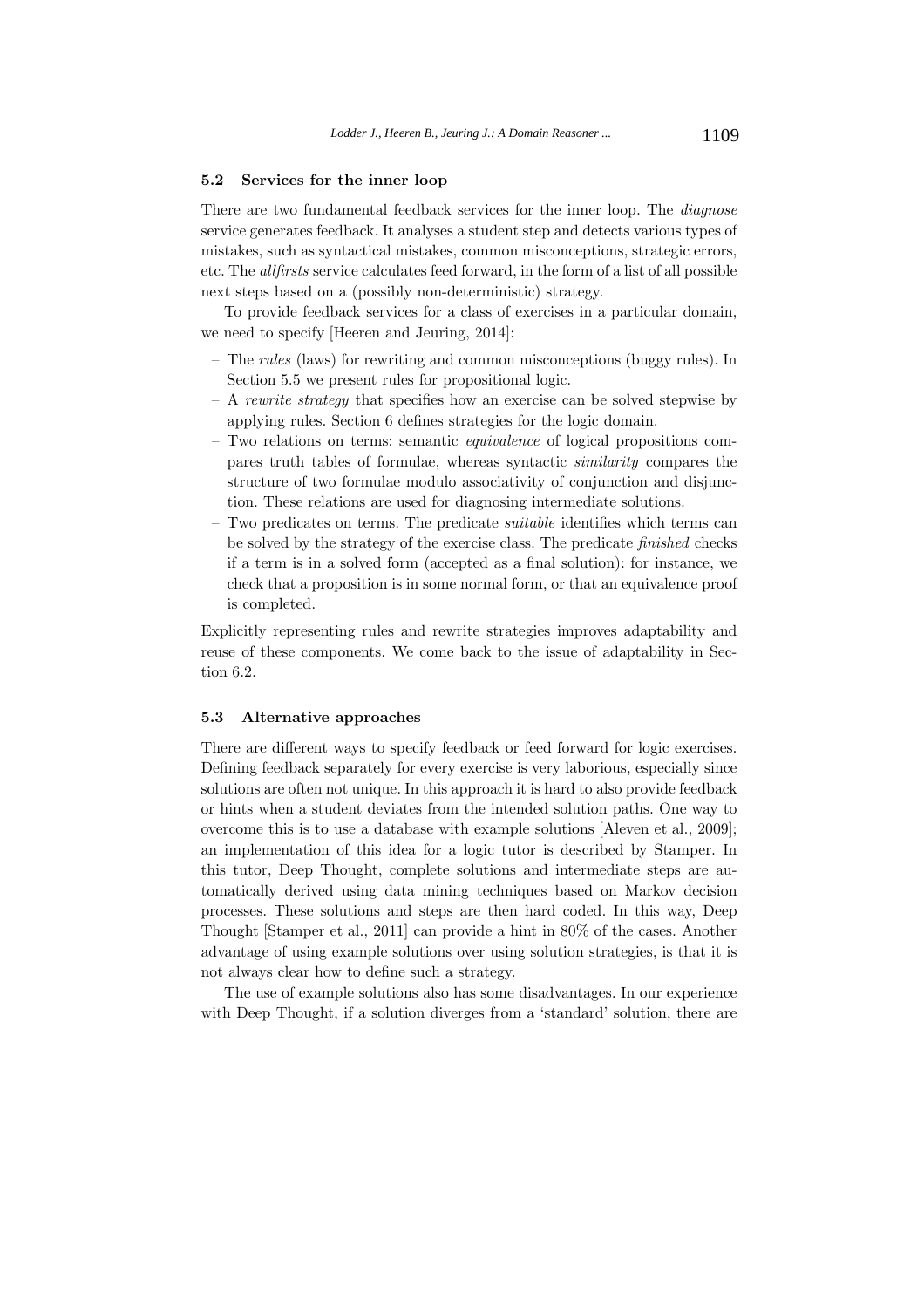#### **5.2 Services for the inner loop**

There are two fundamental feedback services for the inner loop. The *diagnose* service generates feedback. It analyses a student step and detects various types of mistakes, such as syntactical mistakes, common misconceptions, strategic errors, etc. The allfirsts service calculates feed forward, in the form of a list of all possible next steps based on a (possibly non-deterministic) strategy.

To provide feedback services for a class of exercises in a particular domain, we need to specify [Heeren and Jeuring, 2014]:

- The rules (laws) for rewriting and common misconceptions (buggy rules). In Section 5.5 we present rules for propositional logic.
- $A$  rewrite strategy that specifies how an exercise can be solved stepwise by applying rules. Section 6 defines strategies for the logic domain.
- Two relations on terms: semantic equivalence of logical propositions compares truth tables of formulae, whereas syntactic similarity compares the structure of two formulae modulo associativity of conjunction and disjunction. These relations are used for diagnosing intermediate solutions.
- $-$  Two predicates on terms. The predicate *suitable* identifies which terms can be solved by the strategy of the exercise class. The predicate finished checks if a term is in a solved form (accepted as a final solution): for instance, we check that a proposition is in some normal form, or that an equivalence proof is completed.

Explicitly representing rules and rewrite strategies improves adaptability and reuse of these components. We come back to the issue of adaptability in Section 6.2.

#### **5.3 Alternative approaches**

There are different ways to specify feedback or feed forward for logic exercises. Defining feedback separately for every exercise is very laborious, especially since solutions are often not unique. In this approach it is hard to also provide feedback or hints when a student deviates from the intended solution paths. One way to overcome this is to use a database with example solutions [Aleven et al., 2009]; an implementation of this idea for a logic tutor is described by Stamper. In this tutor, Deep Thought, complete solutions and intermediate steps are automatically derived using data mining techniques based on Markov decision processes. These solutions and steps are then hard coded. In this way, Deep Thought [Stamper et al., 2011] can provide a hint in 80% of the cases. Another advantage of using example solutions over using solution strategies, is that it is not always clear how to define such a strategy.

The use of example solutions also has some disadvantages. In our experience with Deep Thought, if a solution diverges from a 'standard' solution, there are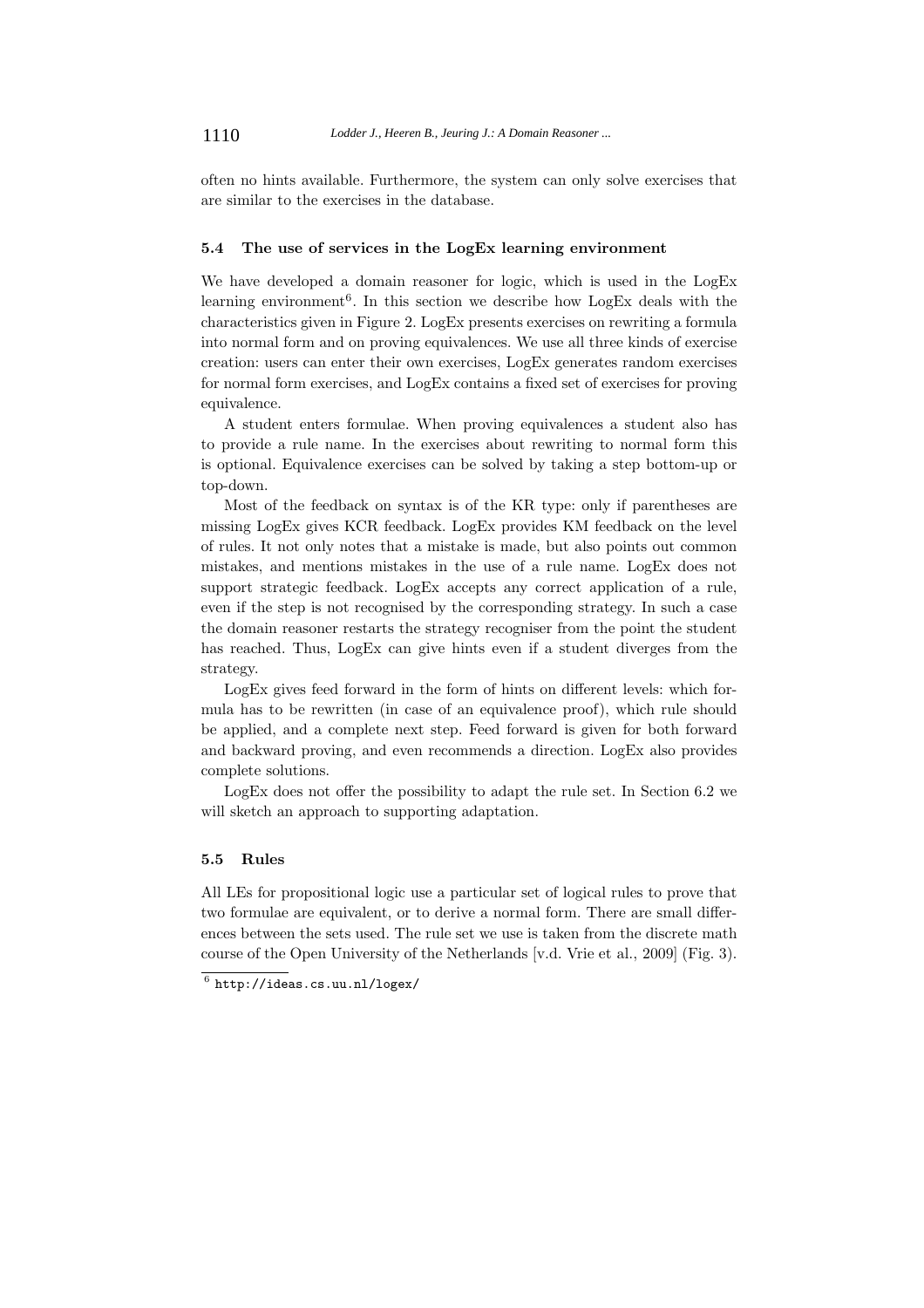often no hints available. Furthermore, the system can only solve exercises that are similar to the exercises in the database.

#### **5.4 The use of services in the LogEx learning environment**

We have developed a domain reasoner for logic, which is used in the LogEx learning environment<sup>6</sup>. In this section we describe how  $LogEx$  deals with the characteristics given in Figure 2. LogEx presents exercises on rewriting a formula into normal form and on proving equivalences. We use all three kinds of exercise creation: users can enter their own exercises, LogEx generates random exercises for normal form exercises, and LogEx contains a fixed set of exercises for proving equivalence.

A student enters formulae. When proving equivalences a student also has to provide a rule name. In the exercises about rewriting to normal form this is optional. Equivalence exercises can be solved by taking a step bottom-up or top-down.

Most of the feedback on syntax is of the KR type: only if parentheses are missing LogEx gives KCR feedback. LogEx provides KM feedback on the level of rules. It not only notes that a mistake is made, but also points out common mistakes, and mentions mistakes in the use of a rule name. LogEx does not support strategic feedback. LogEx accepts any correct application of a rule, even if the step is not recognised by the corresponding strategy. In such a case the domain reasoner restarts the strategy recogniser from the point the student has reached. Thus, LogEx can give hints even if a student diverges from the strategy.

LogEx gives feed forward in the form of hints on different levels: which formula has to be rewritten (in case of an equivalence proof), which rule should be applied, and a complete next step. Feed forward is given for both forward and backward proving, and even recommends a direction. LogEx also provides complete solutions.

LogEx does not offer the possibility to adapt the rule set. In Section 6.2 we will sketch an approach to supporting adaptation.

# **5.5 Rules**

All LEs for propositional logic use a particular set of logical rules to prove that two formulae are equivalent, or to derive a normal form. There are small differences between the sets used. The rule set we use is taken from the discrete math course of the Open University of the Netherlands [v.d. Vrie et al., 2009] (Fig. 3).

 $^6$  http://ideas.cs.uu.nl/logex/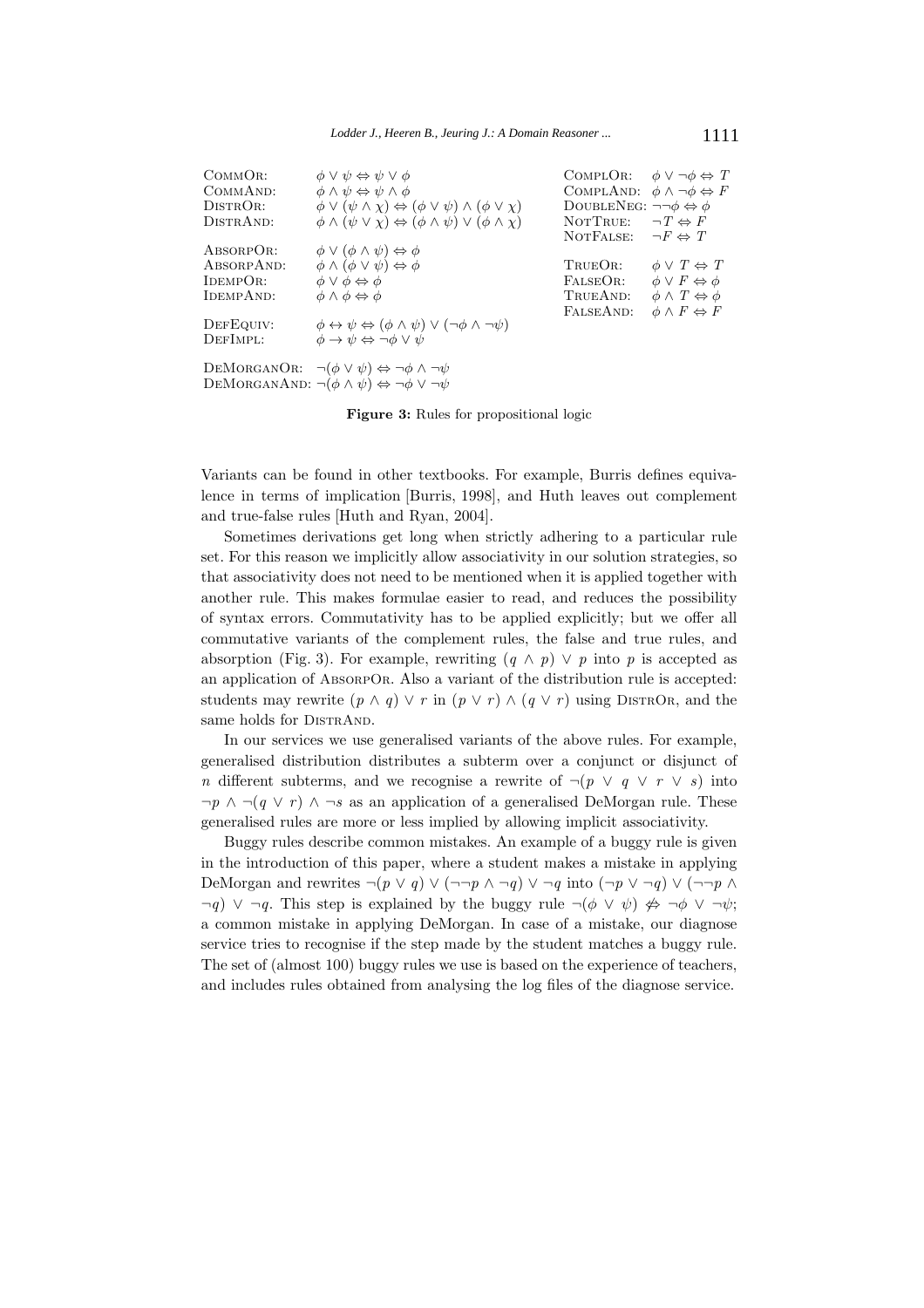| COMMOR:<br>COMMAND:<br>DISTROR:<br>DISTRAND: | $\phi \vee \psi \Leftrightarrow \psi \vee \phi$<br>$\phi \wedge \psi \Leftrightarrow \psi \wedge \phi$<br>$\phi \vee (\psi \wedge \chi) \Leftrightarrow (\phi \vee \psi) \wedge (\phi \vee \chi)$<br>$\phi \land (\psi \lor \chi) \Leftrightarrow (\phi \land \psi) \lor (\phi \land \chi)$ | COMPLOR: $\phi \lor \neg \phi \Leftrightarrow T$<br>COMPLAND: $\phi \land \neg \phi \Leftrightarrow F$<br>DOUBLENEG: $\neg\neg \phi \Leftrightarrow \phi$<br>NOTTRUE: | $\neg T \Leftrightarrow F$           |
|----------------------------------------------|---------------------------------------------------------------------------------------------------------------------------------------------------------------------------------------------------------------------------------------------------------------------------------------------|-----------------------------------------------------------------------------------------------------------------------------------------------------------------------|--------------------------------------|
| ABSORPOR:                                    | $\phi \vee (\phi \wedge \psi) \Leftrightarrow \phi$                                                                                                                                                                                                                                         | NOTFALSE:                                                                                                                                                             | $\neg F \Leftrightarrow T$           |
| ABSORPAND:                                   | $\phi \wedge (\phi \vee \psi) \Leftrightarrow \phi$                                                                                                                                                                                                                                         | TRUEOR:                                                                                                                                                               | $\phi \vee T \Leftrightarrow T$      |
| IDEMPOR:                                     | $\phi \vee \phi \Leftrightarrow \phi$                                                                                                                                                                                                                                                       | FALSEOR:                                                                                                                                                              | $\phi \vee F \Leftrightarrow \phi$   |
| IDEMPAND:                                    | $\phi \land \phi \Leftrightarrow \phi$                                                                                                                                                                                                                                                      | TRUEAND:                                                                                                                                                              | $\phi \wedge T \Leftrightarrow \phi$ |
| DEFEQUIV:<br>DEFIMPL:                        | $\phi \leftrightarrow \psi \Leftrightarrow (\phi \land \psi) \lor (\neg \phi \land \neg \psi)$<br>$\phi \rightarrow \psi \Leftrightarrow \neg \phi \vee \psi$                                                                                                                               | FALSEAND:                                                                                                                                                             | $\phi \wedge F \Leftrightarrow F$    |
|                                              | DEMORGANOR: $\neg(\phi \lor \psi) \Leftrightarrow \neg \phi \land \neg \psi$<br>DEMORGANAND: $\neg(\phi \land \psi) \Leftrightarrow \neg \phi \lor \neg \psi$                                                                                                                               |                                                                                                                                                                       |                                      |

**Figure 3:** Rules for propositional logic

Variants can be found in other textbooks. For example, Burris defines equivalence in terms of implication [Burris, 1998], and Huth leaves out complement and true-false rules [Huth and Ryan, 2004].

Sometimes derivations get long when strictly adhering to a particular rule set. For this reason we implicitly allow associativity in our solution strategies, so that associativity does not need to be mentioned when it is applied together with another rule. This makes formulae easier to read, and reduces the possibility of syntax errors. Commutativity has to be applied explicitly; but we offer all commutative variants of the complement rules, the false and true rules, and absorption (Fig. 3). For example, rewriting  $(q \wedge p) \vee p$  into p is accepted as an application of AbsorpOr. Also a variant of the distribution rule is accepted: students may rewrite  $(p \wedge q) \vee r$  in  $(p \vee r) \wedge (q \vee r)$  using Distribution and the same holds for DISTRAND.

In our services we use generalised variants of the above rules. For example, generalised distribution distributes a subterm over a conjunct or disjunct of n different subterms, and we recognise a rewrite of  $\neg (p \lor q \lor r \lor s)$  into  $\neg p \land \neg (q \lor r) \land \neg s$  as an application of a generalised DeMorgan rule. These generalised rules are more or less implied by allowing implicit associativity.

Buggy rules describe common mistakes. An example of a buggy rule is given in the introduction of this paper, where a student makes a mistake in applying DeMorgan and rewrites  $\neg(p \lor q) \lor (\neg\neg p \land \neg q) \lor \neg q$  into  $(\neg p \lor \neg q) \lor (\neg\neg p \land \neg q)$  $\neg q$ )  $\vee \neg q$ . This step is explained by the buggy rule  $\neg (\phi \vee \psi) \nleftrightarrow \neg \phi \vee \neg \psi$ ; a common mistake in applying DeMorgan. In case of a mistake, our diagnose service tries to recognise if the step made by the student matches a buggy rule. The set of (almost 100) buggy rules we use is based on the experience of teachers, and includes rules obtained from analysing the log files of the diagnose service.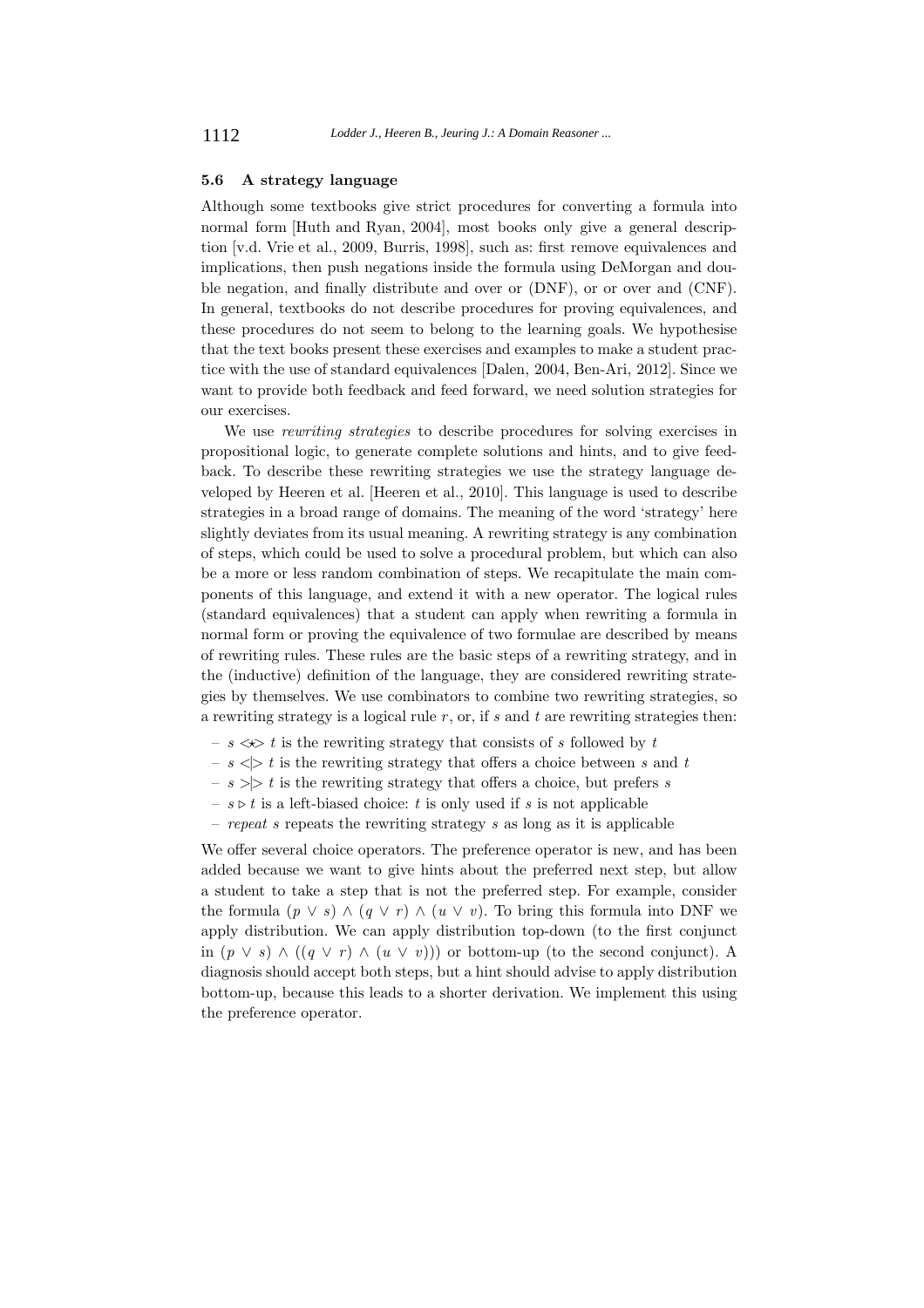#### **5.6 A strategy language**

Although some textbooks give strict procedures for converting a formula into normal form [Huth and Ryan, 2004], most books only give a general description [v.d. Vrie et al., 2009, Burris, 1998], such as: first remove equivalences and implications, then push negations inside the formula using DeMorgan and double negation, and finally distribute and over or (DNF), or or over and (CNF). In general, textbooks do not describe procedures for proving equivalences, and these procedures do not seem to belong to the learning goals. We hypothesise that the text books present these exercises and examples to make a student practice with the use of standard equivalences [Dalen, 2004, Ben-Ari, 2012]. Since we want to provide both feedback and feed forward, we need solution strategies for our exercises.

We use *rewriting strategies* to describe procedures for solving exercises in propositional logic, to generate complete solutions and hints, and to give feedback. To describe these rewriting strategies we use the strategy language developed by Heeren et al. [Heeren et al., 2010]. This language is used to describe strategies in a broad range of domains. The meaning of the word 'strategy' here slightly deviates from its usual meaning. A rewriting strategy is any combination of steps, which could be used to solve a procedural problem, but which can also be a more or less random combination of steps. We recapitulate the main components of this language, and extend it with a new operator. The logical rules (standard equivalences) that a student can apply when rewriting a formula in normal form or proving the equivalence of two formulae are described by means of rewriting rules. These rules are the basic steps of a rewriting strategy, and in the (inductive) definition of the language, they are considered rewriting strategies by themselves. We use combinators to combine two rewriting strategies, so a rewriting strategy is a logical rule  $r$ , or, if  $s$  and  $t$  are rewriting strategies then:

- $s\lll t$  is the rewriting strategy that consists of  $s$  followed by  $t$
- $s \leq t$  is the rewriting strategy that offers a choice between s and t
- $s$  >  $\ge$  t is the rewriting strategy that offers a choice, but prefers s
- $s \triangleright t$  is a left-biased choice: t is only used if s is not applicable
- repeat s repeats the rewriting strategy s as long as it is applicable

We offer several choice operators. The preference operator is new, and has been added because we want to give hints about the preferred next step, but allow a student to take a step that is not the preferred step. For example, consider the formula  $(p \vee s) \wedge (q \vee r) \wedge (u \vee v)$ . To bring this formula into DNF we apply distribution. We can apply distribution top-down (to the first conjunct in  $(p \vee s) \wedge ((q \vee r) \wedge (u \vee v)))$  or bottom-up (to the second conjunct). A diagnosis should accept both steps, but a hint should advise to apply distribution bottom-up, because this leads to a shorter derivation. We implement this using the preference operator.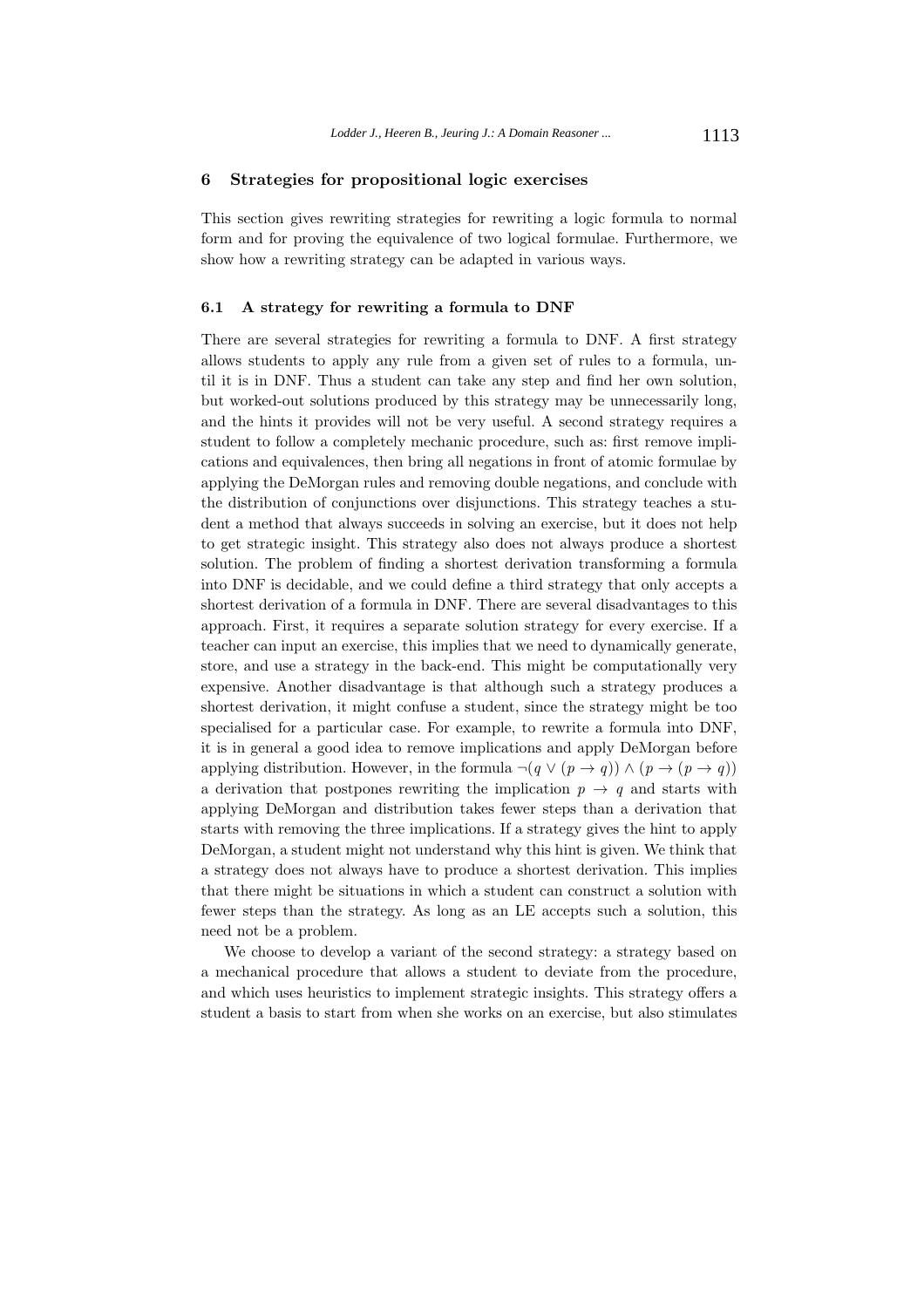# **6 Strategies for propositional logic exercises**

This section gives rewriting strategies for rewriting a logic formula to normal form and for proving the equivalence of two logical formulae. Furthermore, we show how a rewriting strategy can be adapted in various ways.

#### **6.1 A strategy for rewriting a formula to DNF**

There are several strategies for rewriting a formula to DNF. A first strategy allows students to apply any rule from a given set of rules to a formula, until it is in DNF. Thus a student can take any step and find her own solution, but worked-out solutions produced by this strategy may be unnecessarily long, and the hints it provides will not be very useful. A second strategy requires a student to follow a completely mechanic procedure, such as: first remove implications and equivalences, then bring all negations in front of atomic formulae by applying the DeMorgan rules and removing double negations, and conclude with the distribution of conjunctions over disjunctions. This strategy teaches a student a method that always succeeds in solving an exercise, but it does not help to get strategic insight. This strategy also does not always produce a shortest solution. The problem of finding a shortest derivation transforming a formula into DNF is decidable, and we could define a third strategy that only accepts a shortest derivation of a formula in DNF. There are several disadvantages to this approach. First, it requires a separate solution strategy for every exercise. If a teacher can input an exercise, this implies that we need to dynamically generate, store, and use a strategy in the back-end. This might be computationally very expensive. Another disadvantage is that although such a strategy produces a shortest derivation, it might confuse a student, since the strategy might be too specialised for a particular case. For example, to rewrite a formula into DNF, it is in general a good idea to remove implications and apply DeMorgan before applying distribution. However, in the formula  $\neg(q \lor (p \rightarrow q)) \land (p \rightarrow (p \rightarrow q))$ a derivation that postpones rewriting the implication  $p \rightarrow q$  and starts with applying DeMorgan and distribution takes fewer steps than a derivation that starts with removing the three implications. If a strategy gives the hint to apply DeMorgan, a student might not understand why this hint is given. We think that a strategy does not always have to produce a shortest derivation. This implies that there might be situations in which a student can construct a solution with fewer steps than the strategy. As long as an LE accepts such a solution, this need not be a problem.

We choose to develop a variant of the second strategy: a strategy based on a mechanical procedure that allows a student to deviate from the procedure, and which uses heuristics to implement strategic insights. This strategy offers a student a basis to start from when she works on an exercise, but also stimulates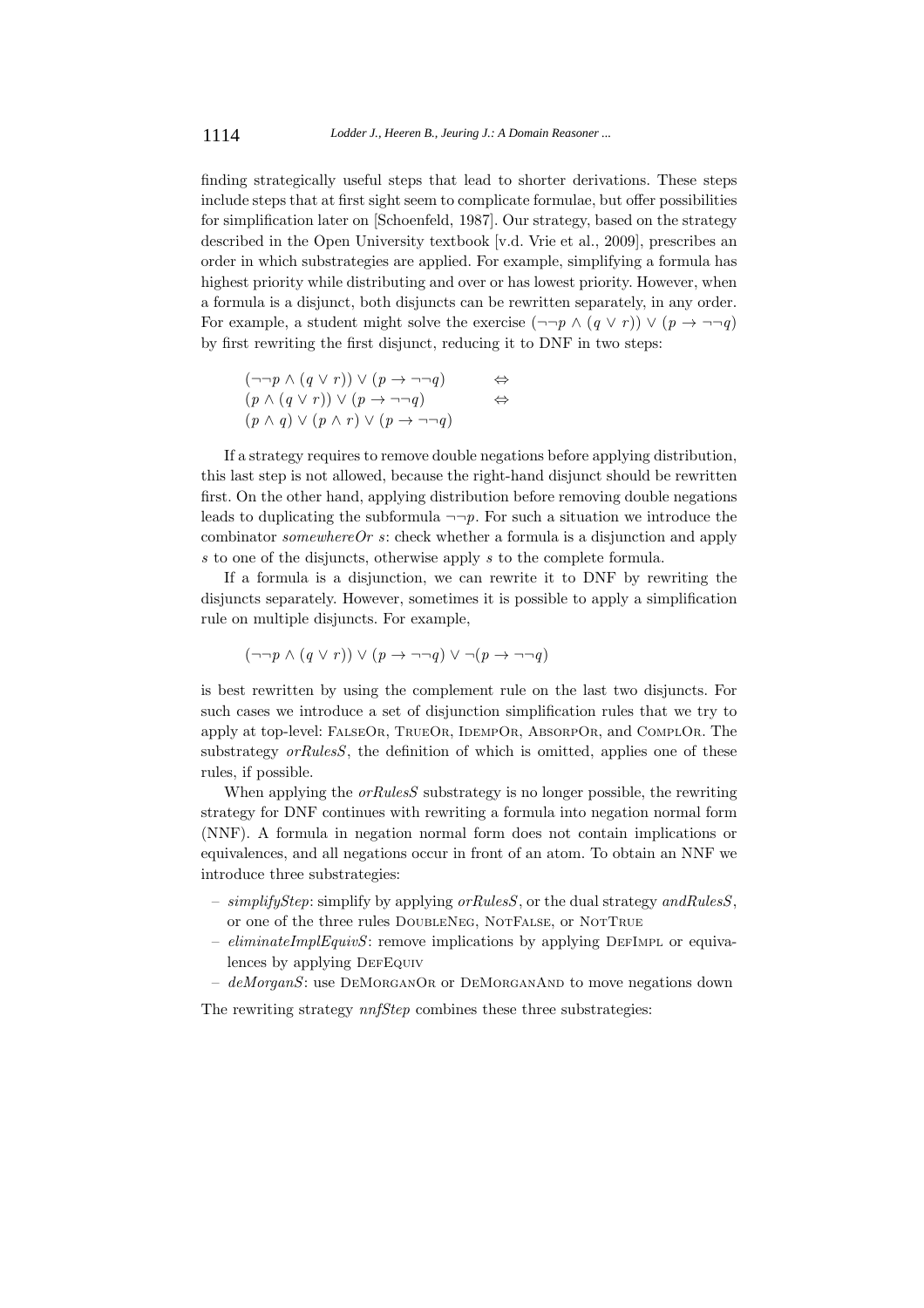finding strategically useful steps that lead to shorter derivations. These steps include steps that at first sight seem to complicate formulae, but offer possibilities for simplification later on [Schoenfeld, 1987]. Our strategy, based on the strategy described in the Open University textbook [v.d. Vrie et al., 2009], prescribes an order in which substrategies are applied. For example, simplifying a formula has highest priority while distributing and over or has lowest priority. However, when a formula is a disjunct, both disjuncts can be rewritten separately, in any order. For example, a student might solve the exercise  $(\neg\neg p \land (q \lor r)) \lor (p \rightarrow \neg\neg q)$ by first rewriting the first disjunct, reducing it to DNF in two steps:

$$
(\neg\neg p \land (q \lor r)) \lor (p \to \neg\neg q) \Leftrightarrow
$$
  
\n
$$
(p \land (q \lor r)) \lor (p \to \neg\neg q) \Leftrightarrow
$$
  
\n
$$
(p \land q) \lor (p \land r) \lor (p \to \neg\neg q)
$$

If a strategy requires to remove double negations before applying distribution, this last step is not allowed, because the right-hand disjunct should be rewritten first. On the other hand, applying distribution before removing double negations leads to duplicating the subformula  $\neg\neg p$ . For such a situation we introduce the combinator  $somewhereOr s$ : check whether a formula is a disjunction and apply s to one of the disjuncts, otherwise apply s to the complete formula.

If a formula is a disjunction, we can rewrite it to DNF by rewriting the disjuncts separately. However, sometimes it is possible to apply a simplification rule on multiple disjuncts. For example,

$$
(\neg\neg p \land (q \lor r)) \lor (p \to \neg\neg q) \lor \neg (p \to \neg\neg q)
$$

is best rewritten by using the complement rule on the last two disjuncts. For such cases we introduce a set of disjunction simplification rules that we try to apply at top-level: FalseOr, TrueOr, IdempOr, AbsorpOr, and ComplOr. The substrategy *orRulesS*, the definition of which is omitted, applies one of these rules, if possible.

When applying the  $orRulesS$  substrategy is no longer possible, the rewriting strategy for DNF continues with rewriting a formula into negation normal form (NNF). A formula in negation normal form does not contain implications or equivalences, and all negations occur in front of an atom. To obtain an NNF we introduce three substrategies:

- simplify Step: simplify by applying  $orRulesS$ , or the dual strategy and RulesS, or one of the three rules DoubleNeg, NotFalse, or NotTrue
- $eliminateImplEquivS$ : remove implications by applying DEFIMPL or equivalences by applying DEFEQUIV
- $-$  deMorganS: use DEMORGANOR or DEMORGANAND to move negations down

The rewriting strategy  $nnfStep$  combines these three substrategies: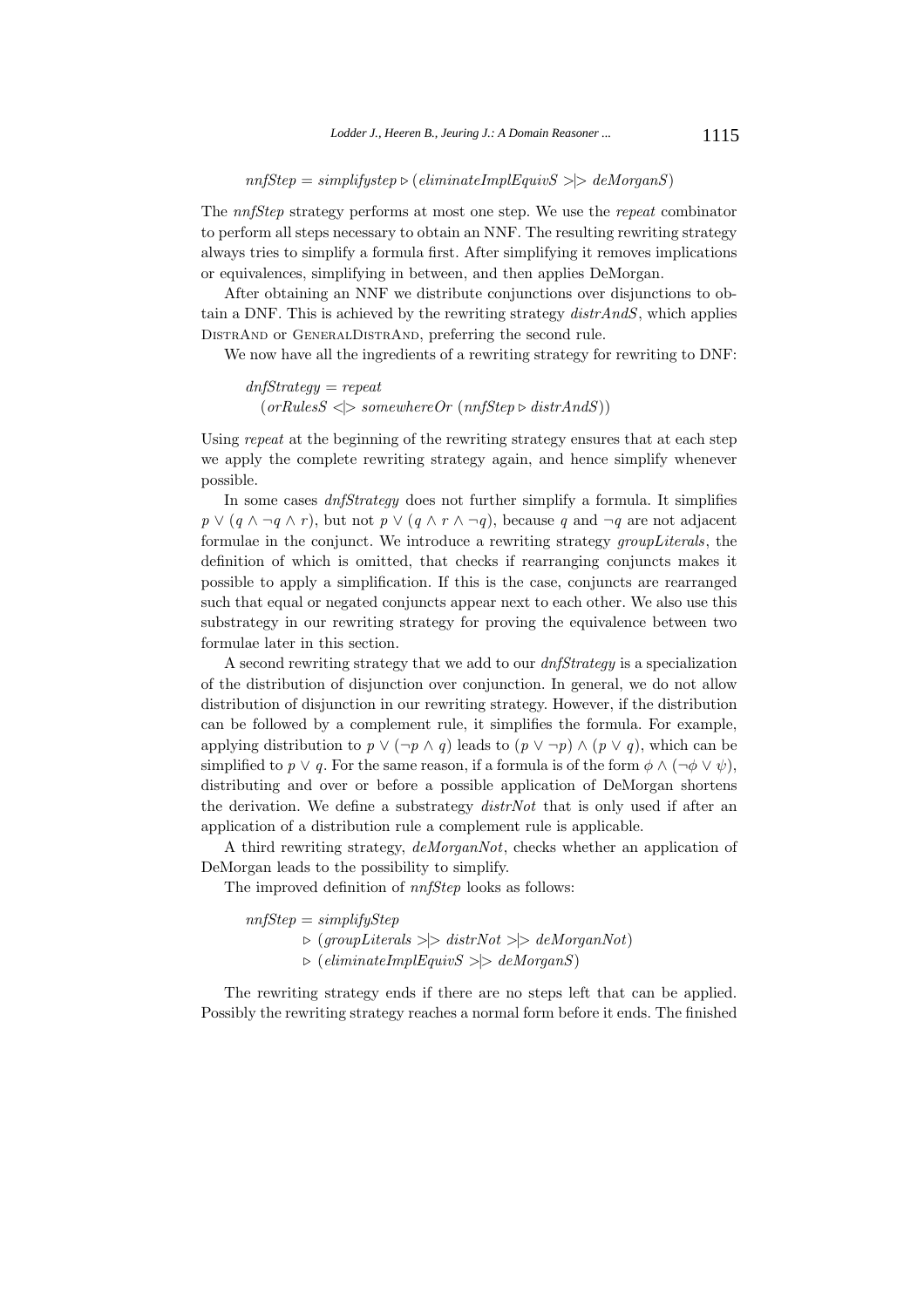The nnfStep strategy performs at most one step. We use the repeat combinator to perform all steps necessary to obtain an NNF. The resulting rewriting strategy always tries to simplify a formula first. After simplifying it removes implications or equivalences, simplifying in between, and then applies DeMorgan.

After obtaining an NNF we distribute conjunctions over disjunctions to obtain a DNF. This is achieved by the rewriting strategy  $distAndS$ , which applies DistrAnd or GeneralDistrAnd, preferring the second rule.

We now have all the ingredients of a rewriting strategy for rewriting to DNF:

$$
dnfStrategy = repeat
$$
  
(
$$
(orRulesS \leq)
$$
 somewhereOr (
$$
(nnfStep \geq distrAndS)
$$
)

Using repeat at the beginning of the rewriting strategy ensures that at each step we apply the complete rewriting strategy again, and hence simplify whenever possible.

In some cases dnfStrategy does not further simplify a formula. It simplifies  $p \vee (q \wedge \neg q \wedge r)$ , but not  $p \vee (q \wedge r \wedge \neg q)$ , because q and  $\neg q$  are not adjacent formulae in the conjunct. We introduce a rewriting strategy groupLiterals, the definition of which is omitted, that checks if rearranging conjuncts makes it possible to apply a simplification. If this is the case, conjuncts are rearranged such that equal or negated conjuncts appear next to each other. We also use this substrategy in our rewriting strategy for proving the equivalence between two formulae later in this section.

A second rewriting strategy that we add to our dnfStrategy is a specialization of the distribution of disjunction over conjunction. In general, we do not allow distribution of disjunction in our rewriting strategy. However, if the distribution can be followed by a complement rule, it simplifies the formula. For example, applying distribution to  $p \vee (\neg p \wedge q)$  leads to  $(p \vee \neg p) \wedge (p \vee q)$ , which can be simplified to  $p \vee q$ . For the same reason, if a formula is of the form  $\phi \wedge (\neg \phi \vee \psi)$ , distributing and over or before a possible application of DeMorgan shortens the derivation. We define a substrategy distrNot that is only used if after an application of a distribution rule a complement rule is applicable.

A third rewriting strategy, deMorganNot, checks whether an application of DeMorgan leads to the possibility to simplify.

The improved definition of  $nnfStep$  looks as follows:

 $nnfStep = simplifyStep$  $\triangleright$  (groupLiterals  $\gt \gt \text{distrNot} > \gt \text{deMorganNot}$ )  $\triangleright$  (eliminateImplEquivS > |> deMorganS)

The rewriting strategy ends if there are no steps left that can be applied. Possibly the rewriting strategy reaches a normal form before it ends. The finished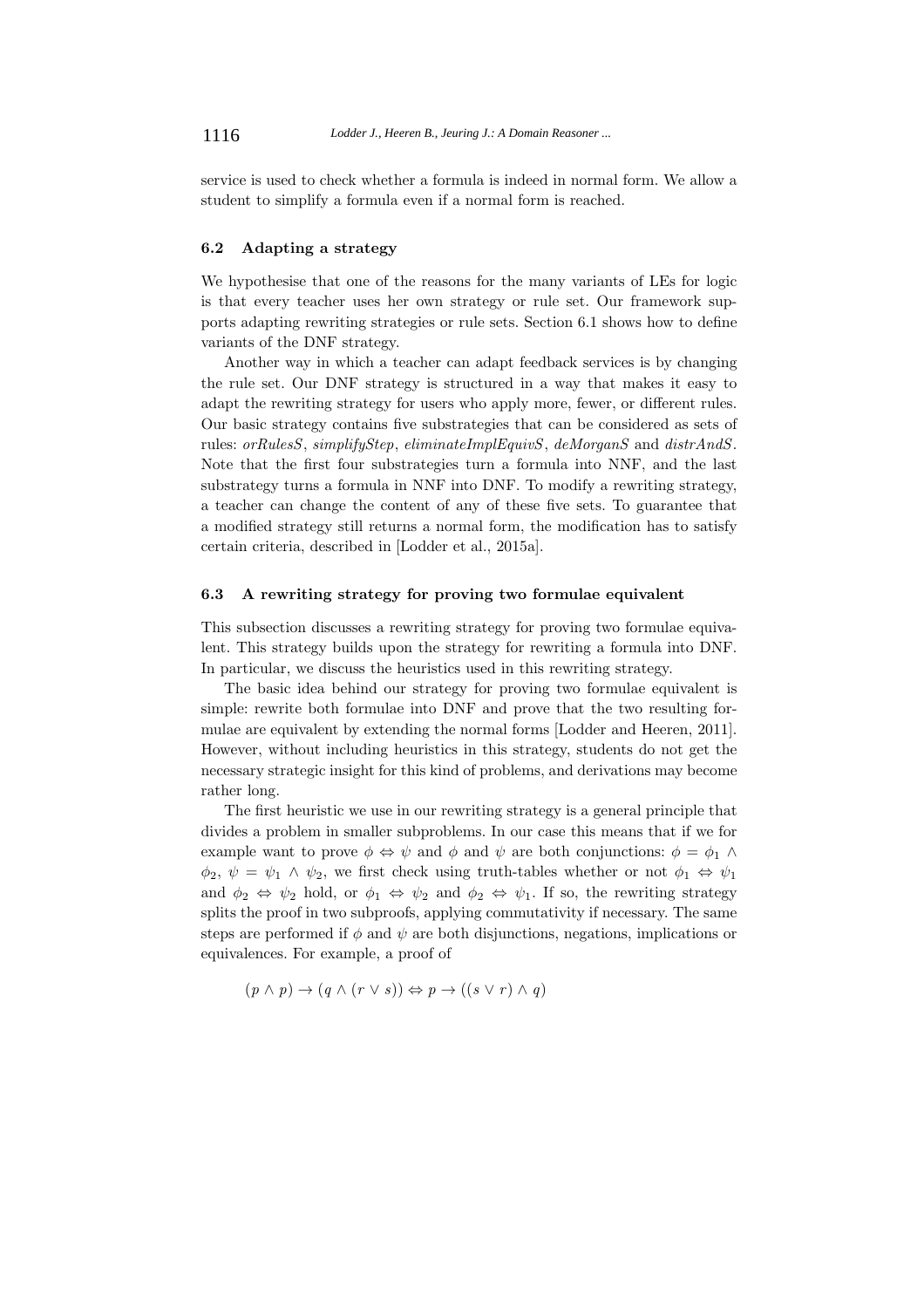service is used to check whether a formula is indeed in normal form. We allow a student to simplify a formula even if a normal form is reached.

#### **6.2 Adapting a strategy**

We hypothesise that one of the reasons for the many variants of LEs for logic is that every teacher uses her own strategy or rule set. Our framework supports adapting rewriting strategies or rule sets. Section 6.1 shows how to define variants of the DNF strategy.

Another way in which a teacher can adapt feedback services is by changing the rule set. Our DNF strategy is structured in a way that makes it easy to adapt the rewriting strategy for users who apply more, fewer, or different rules. Our basic strategy contains five substrategies that can be considered as sets of rules: orRulesS, simplifyStep, eliminateImplEquivS, deMorganS and distrAndS. Note that the first four substrategies turn a formula into NNF, and the last substrategy turns a formula in NNF into DNF. To modify a rewriting strategy, a teacher can change the content of any of these five sets. To guarantee that a modified strategy still returns a normal form, the modification has to satisfy certain criteria, described in [Lodder et al., 2015a].

#### **6.3 A rewriting strategy for proving two formulae equivalent**

This subsection discusses a rewriting strategy for proving two formulae equivalent. This strategy builds upon the strategy for rewriting a formula into DNF. In particular, we discuss the heuristics used in this rewriting strategy.

The basic idea behind our strategy for proving two formulae equivalent is simple: rewrite both formulae into DNF and prove that the two resulting formulae are equivalent by extending the normal forms [Lodder and Heeren, 2011]. However, without including heuristics in this strategy, students do not get the necessary strategic insight for this kind of problems, and derivations may become rather long.

The first heuristic we use in our rewriting strategy is a general principle that divides a problem in smaller subproblems. In our case this means that if we for example want to prove  $\phi \Leftrightarrow \psi$  and  $\phi$  and  $\psi$  are both conjunctions:  $\phi = \phi_1 \wedge \phi$  $\phi_2, \psi = \psi_1 \wedge \psi_2$ , we first check using truth-tables whether or not  $\phi_1 \Leftrightarrow \psi_1$ and  $\phi_2 \Leftrightarrow \psi_2$  hold, or  $\phi_1 \Leftrightarrow \psi_2$  and  $\phi_2 \Leftrightarrow \psi_1$ . If so, the rewriting strategy splits the proof in two subproofs, applying commutativity if necessary. The same steps are performed if  $\phi$  and  $\psi$  are both disjunctions, negations, implications or equivalences. For example, a proof of

$$
(p \land p) \to (q \land (r \lor s)) \Leftrightarrow p \to ((s \lor r) \land q)
$$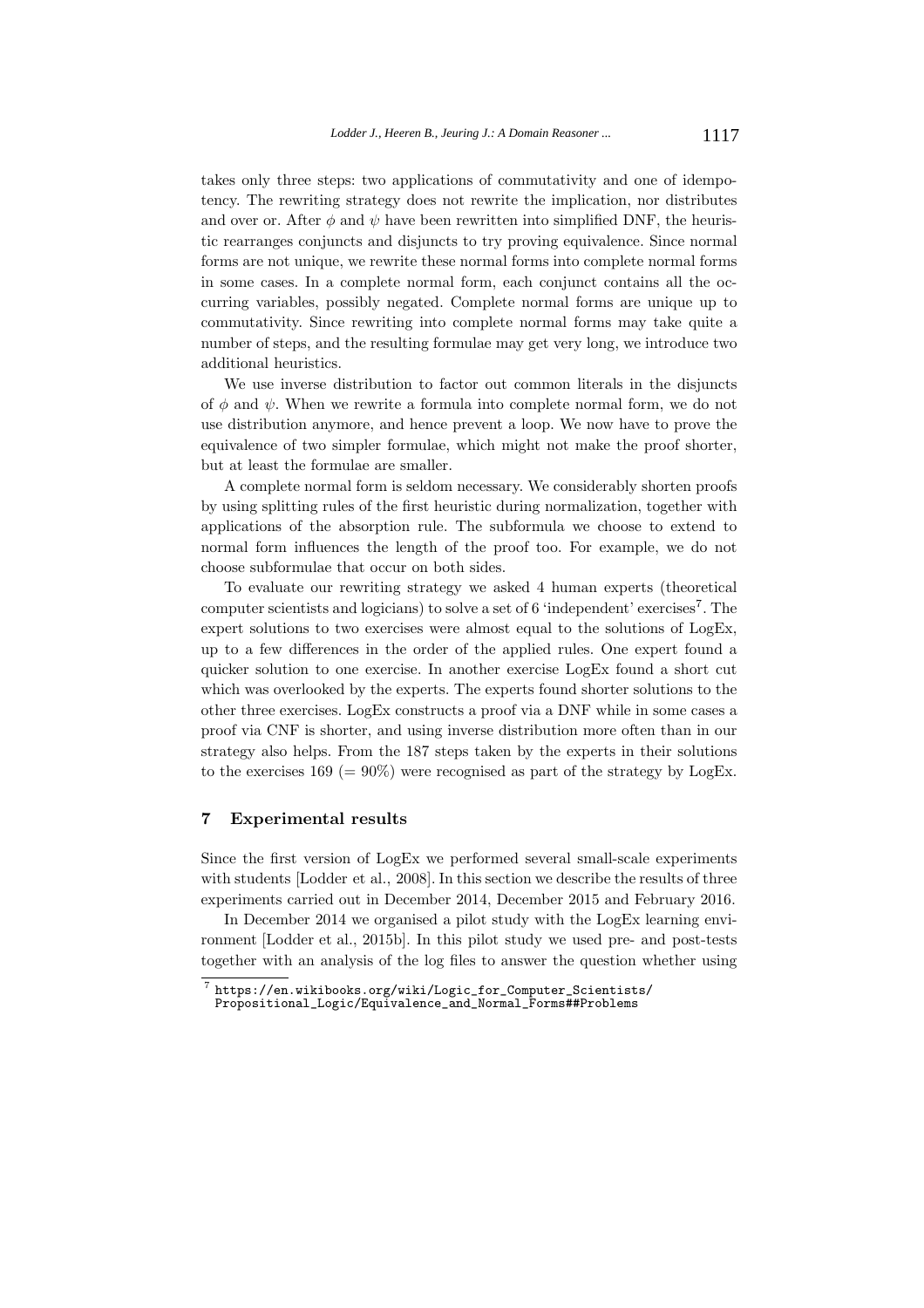takes only three steps: two applications of commutativity and one of idempotency. The rewriting strategy does not rewrite the implication, nor distributes and over or. After  $\phi$  and  $\psi$  have been rewritten into simplified DNF, the heuristic rearranges conjuncts and disjuncts to try proving equivalence. Since normal forms are not unique, we rewrite these normal forms into complete normal forms in some cases. In a complete normal form, each conjunct contains all the occurring variables, possibly negated. Complete normal forms are unique up to commutativity. Since rewriting into complete normal forms may take quite a number of steps, and the resulting formulae may get very long, we introduce two additional heuristics.

We use inverse distribution to factor out common literals in the disjuncts of  $\phi$  and  $\psi$ . When we rewrite a formula into complete normal form, we do not use distribution anymore, and hence prevent a loop. We now have to prove the equivalence of two simpler formulae, which might not make the proof shorter, but at least the formulae are smaller.

A complete normal form is seldom necessary. We considerably shorten proofs by using splitting rules of the first heuristic during normalization, together with applications of the absorption rule. The subformula we choose to extend to normal form influences the length of the proof too. For example, we do not choose subformulae that occur on both sides.

To evaluate our rewriting strategy we asked 4 human experts (theoretical computer scientists and logicians) to solve a set of 6 'independent' exercises<sup>7</sup>. The expert solutions to two exercises were almost equal to the solutions of LogEx, up to a few differences in the order of the applied rules. One expert found a quicker solution to one exercise. In another exercise LogEx found a short cut which was overlooked by the experts. The experts found shorter solutions to the other three exercises. LogEx constructs a proof via a DNF while in some cases a proof via CNF is shorter, and using inverse distribution more often than in our strategy also helps. From the 187 steps taken by the experts in their solutions to the exercises  $169 (= 90\%)$  were recognised as part of the strategy by LogEx.

#### **7 Experimental results**

Since the first version of LogEx we performed several small-scale experiments with students [Lodder et al., 2008]. In this section we describe the results of three experiments carried out in December 2014, December 2015 and February 2016.

In December 2014 we organised a pilot study with the LogEx learning environment [Lodder et al., 2015b]. In this pilot study we used pre- and post-tests together with an analysis of the log files to answer the question whether using

 $^7$  https://en.wikibooks.org/wiki/Logic\_for\_Computer\_Scientists/ Propositional\_Logic/Equivalence\_and\_Normal\_Forms##Problems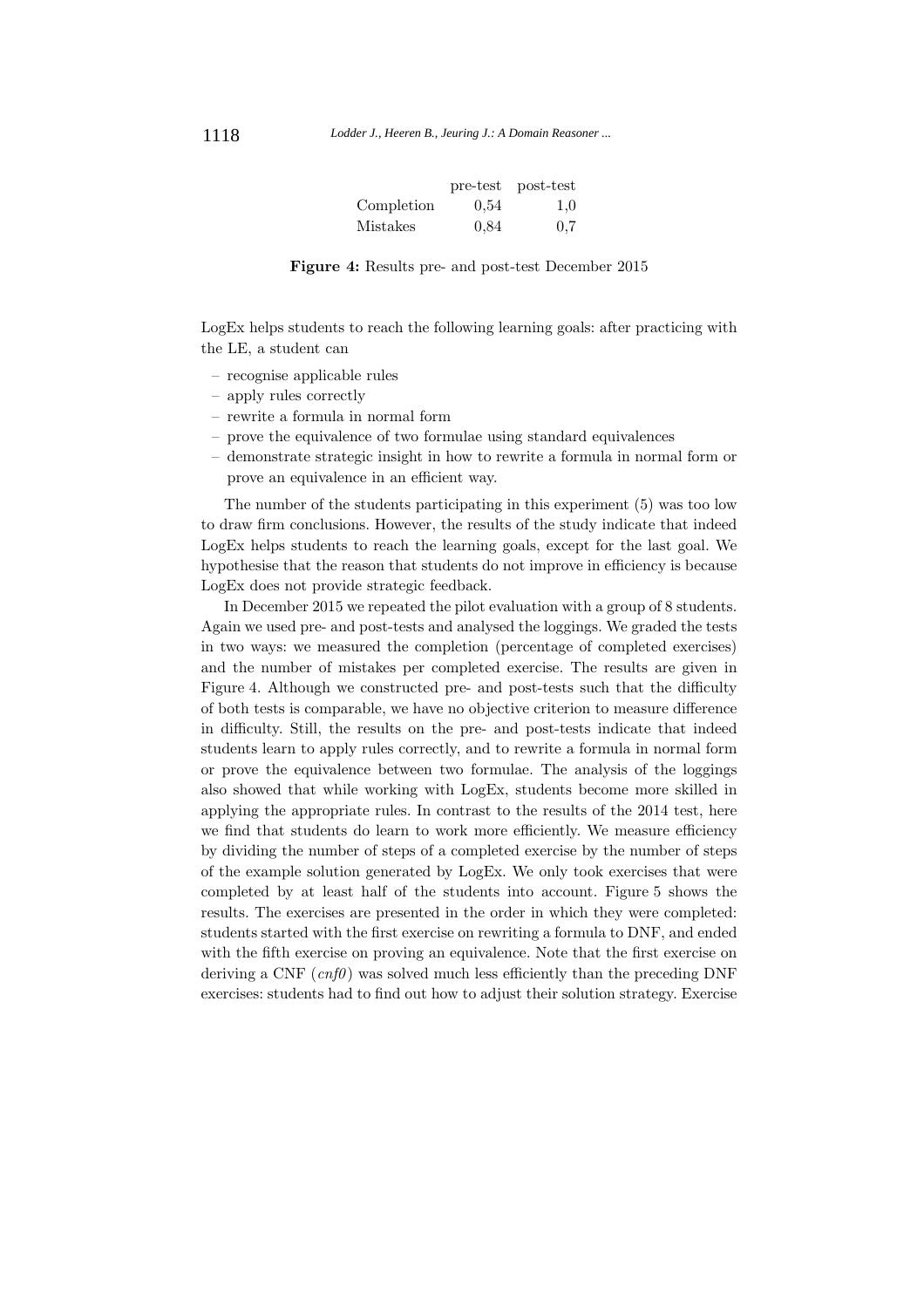|            | pre-test | post-test |
|------------|----------|-----------|
| Completion | 0.54     | 1.0       |
| Mistakes   | 0.84     | 0.7       |

**Figure 4:** Results pre- and post-test December 2015

LogEx helps students to reach the following learning goals: after practicing with the LE, a student can

- recognise applicable rules
- apply rules correctly
- rewrite a formula in normal form
- prove the equivalence of two formulae using standard equivalences
- demonstrate strategic insight in how to rewrite a formula in normal form or prove an equivalence in an efficient way.

The number of the students participating in this experiment (5) was too low to draw firm conclusions. However, the results of the study indicate that indeed LogEx helps students to reach the learning goals, except for the last goal. We hypothesise that the reason that students do not improve in efficiency is because LogEx does not provide strategic feedback.

In December 2015 we repeated the pilot evaluation with a group of 8 students. Again we used pre- and post-tests and analysed the loggings. We graded the tests in two ways: we measured the completion (percentage of completed exercises) and the number of mistakes per completed exercise. The results are given in Figure 4. Although we constructed pre- and post-tests such that the difficulty of both tests is comparable, we have no objective criterion to measure difference in difficulty. Still, the results on the pre- and post-tests indicate that indeed students learn to apply rules correctly, and to rewrite a formula in normal form or prove the equivalence between two formulae. The analysis of the loggings also showed that while working with LogEx, students become more skilled in applying the appropriate rules. In contrast to the results of the 2014 test, here we find that students do learn to work more efficiently. We measure efficiency by dividing the number of steps of a completed exercise by the number of steps of the example solution generated by LogEx. We only took exercises that were completed by at least half of the students into account. Figure 5 shows the results. The exercises are presented in the order in which they were completed: students started with the first exercise on rewriting a formula to DNF, and ended with the fifth exercise on proving an equivalence. Note that the first exercise on deriving a CNF  $(cnf\theta)$  was solved much less efficiently than the preceding DNF exercises: students had to find out how to adjust their solution strategy. Exercise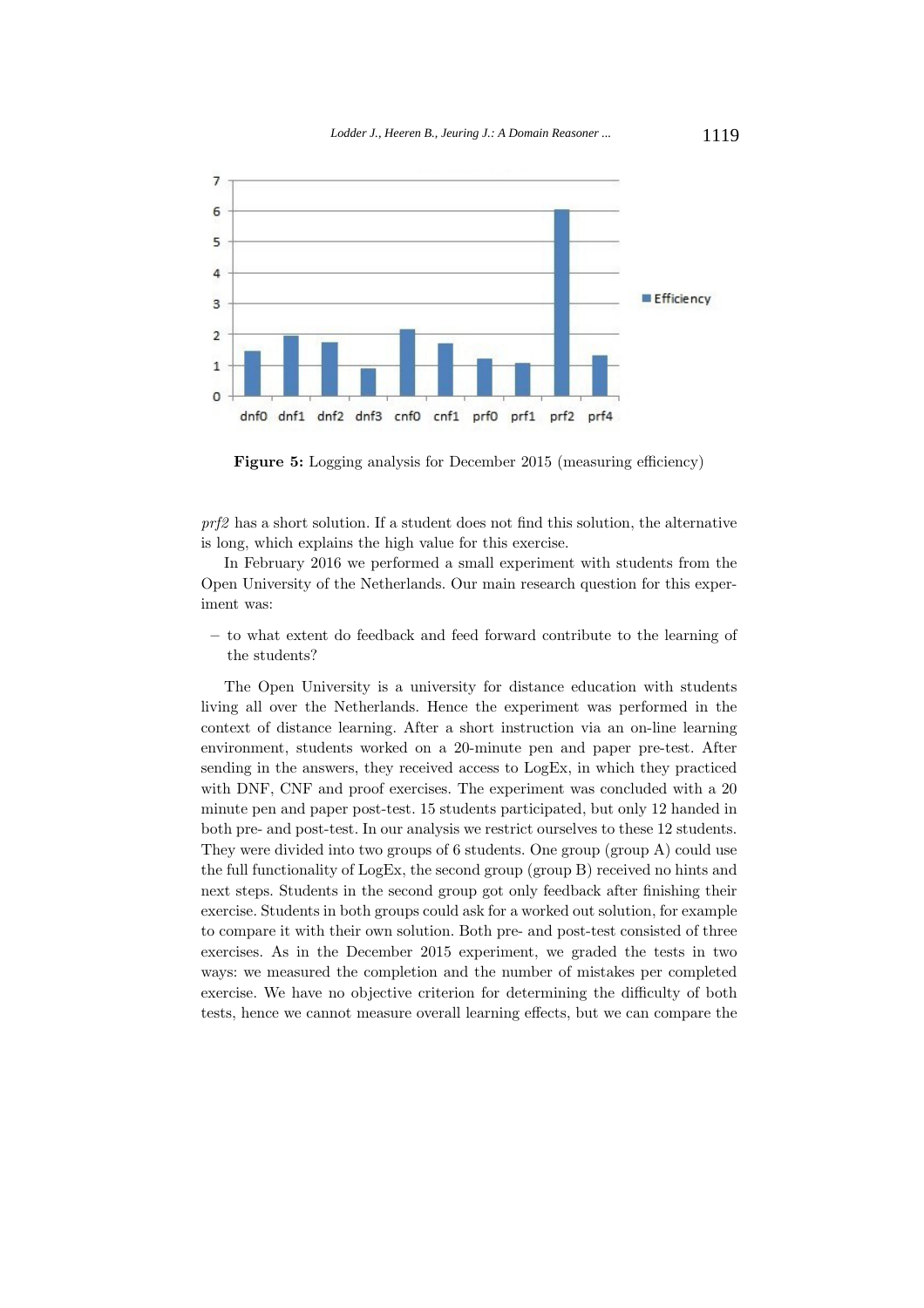

**Figure 5:** Logging analysis for December 2015 (measuring efficiency)

prf2 has a short solution. If a student does not find this solution, the alternative is long, which explains the high value for this exercise.

In February 2016 we performed a small experiment with students from the Open University of the Netherlands. Our main research question for this experiment was:

**–** to what extent do feedback and feed forward contribute to the learning of the students?

The Open University is a university for distance education with students living all over the Netherlands. Hence the experiment was performed in the context of distance learning. After a short instruction via an on-line learning environment, students worked on a 20-minute pen and paper pre-test. After sending in the answers, they received access to LogEx, in which they practiced with DNF, CNF and proof exercises. The experiment was concluded with a 20 minute pen and paper post-test. 15 students participated, but only 12 handed in both pre- and post-test. In our analysis we restrict ourselves to these 12 students. They were divided into two groups of 6 students. One group (group A) could use the full functionality of LogEx, the second group (group B) received no hints and next steps. Students in the second group got only feedback after finishing their exercise. Students in both groups could ask for a worked out solution, for example to compare it with their own solution. Both pre- and post-test consisted of three exercises. As in the December 2015 experiment, we graded the tests in two ways: we measured the completion and the number of mistakes per completed exercise. We have no objective criterion for determining the difficulty of both tests, hence we cannot measure overall learning effects, but we can compare the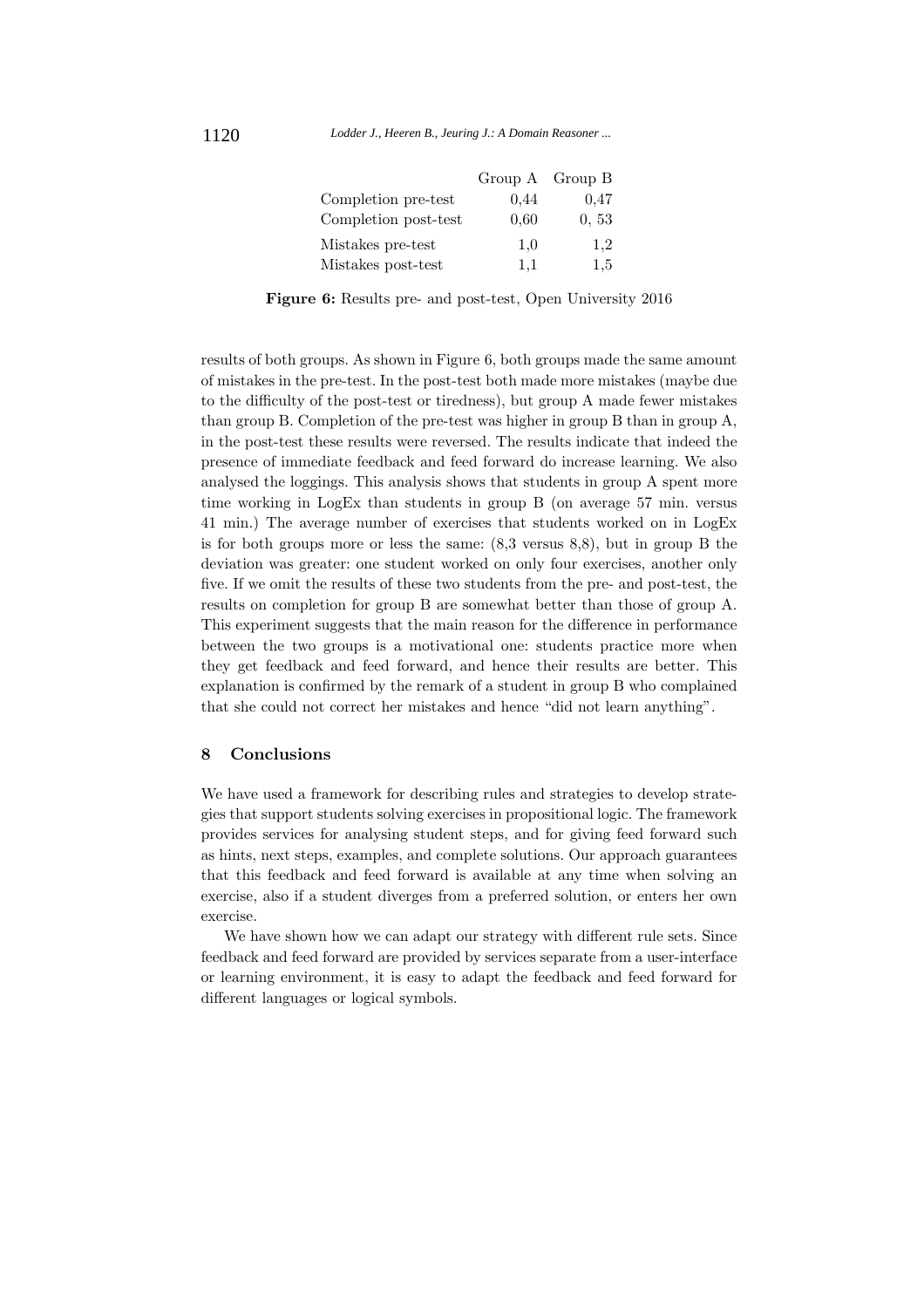|                      | Group A Group B |       |
|----------------------|-----------------|-------|
| Completion pre-test  | 0.44            | 0.47  |
| Completion post-test | 0.60            | 0, 53 |
| Mistakes pre-test    | 1.0             | 1,2   |
| Mistakes post-test   | 1.1             | 1.5   |

**Figure 6:** Results pre- and post-test, Open University 2016

results of both groups. As shown in Figure 6, both groups made the same amount of mistakes in the pre-test. In the post-test both made more mistakes (maybe due to the difficulty of the post-test or tiredness), but group A made fewer mistakes than group B. Completion of the pre-test was higher in group B than in group A, in the post-test these results were reversed. The results indicate that indeed the presence of immediate feedback and feed forward do increase learning. We also analysed the loggings. This analysis shows that students in group A spent more time working in LogEx than students in group B (on average 57 min. versus 41 min.) The average number of exercises that students worked on in LogEx is for both groups more or less the same: (8,3 versus 8,8), but in group B the deviation was greater: one student worked on only four exercises, another only five. If we omit the results of these two students from the pre- and post-test, the results on completion for group B are somewhat better than those of group A. This experiment suggests that the main reason for the difference in performance between the two groups is a motivational one: students practice more when they get feedback and feed forward, and hence their results are better. This explanation is confirmed by the remark of a student in group B who complained that she could not correct her mistakes and hence "did not learn anything".

# **8 Conclusions**

We have used a framework for describing rules and strategies to develop strategies that support students solving exercises in propositional logic. The framework provides services for analysing student steps, and for giving feed forward such as hints, next steps, examples, and complete solutions. Our approach guarantees that this feedback and feed forward is available at any time when solving an exercise, also if a student diverges from a preferred solution, or enters her own exercise.

We have shown how we can adapt our strategy with different rule sets. Since feedback and feed forward are provided by services separate from a user-interface or learning environment, it is easy to adapt the feedback and feed forward for different languages or logical symbols.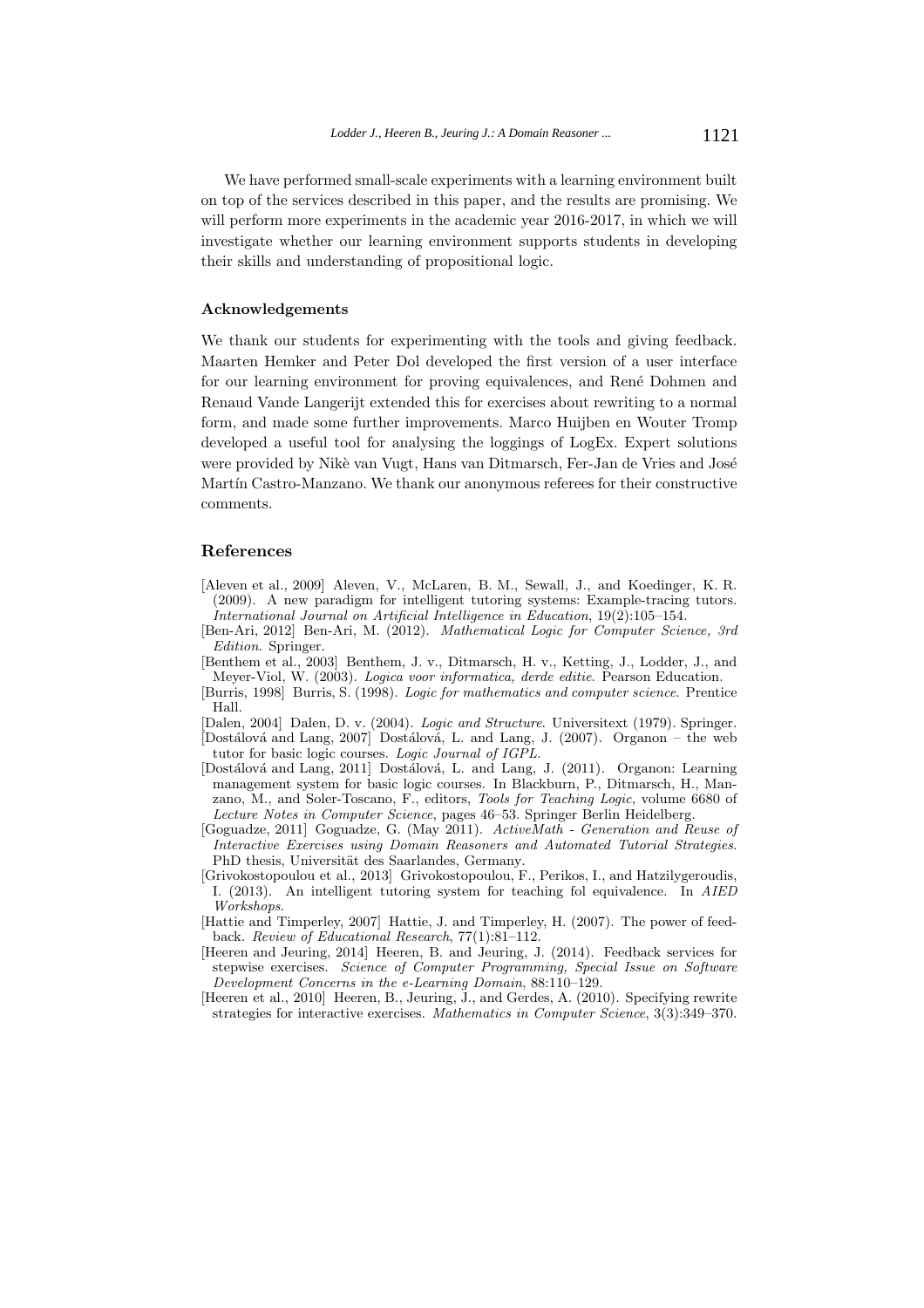We have performed small-scale experiments with a learning environment built on top of the services described in this paper, and the results are promising. We will perform more experiments in the academic year 2016-2017, in which we will investigate whether our learning environment supports students in developing their skills and understanding of propositional logic.

#### **Acknowledgements**

We thank our students for experimenting with the tools and giving feedback. Maarten Hemker and Peter Dol developed the first version of a user interface for our learning environment for proving equivalences, and René Dohmen and Renaud Vande Langerijt extended this for exercises about rewriting to a normal form, and made some further improvements. Marco Huijben en Wouter Tromp developed a useful tool for analysing the loggings of LogEx. Expert solutions were provided by Nikè van Vugt, Hans van Ditmarsch, Fer-Jan de Vries and José Martín Castro-Manzano. We thank our anonymous referees for their constructive comments.

# **References**

- [Aleven et al., 2009] Aleven, V., McLaren, B. M., Sewall, J., and Koedinger, K. R. (2009). A new paradigm for intelligent tutoring systems: Example-tracing tutors. International Journal on Artificial Intelligence in Education, 19(2):105–154.
- [Ben-Ari, 2012] Ben-Ari, M. (2012). Mathematical Logic for Computer Science, 3rd Edition. Springer.
- [Benthem et al., 2003] Benthem, J. v., Ditmarsch, H. v., Ketting, J., Lodder, J., and Meyer-Viol, W. (2003). Logica voor informatica, derde editie. Pearson Education.
- [Burris, 1998] Burris, S. (1998). Logic for mathematics and computer science. Prentice Hall.
- [Dalen, 2004] Dalen, D. v. (2004). Logic and Structure. Universitext (1979). Springer. [Dostálová and Lang, 2007] Dostálová, L. and Lang, J. (2007). Organon – the web

tutor for basic logic courses. Logic Journal of IGPL.

- [Dostálová and Lang, 2011] Dostálová, L. and Lang, J. (2011). Organon: Learning management system for basic logic courses. In Blackburn, P., Ditmarsch, H., Manzano, M., and Soler-Toscano, F., editors, Tools for Teaching Logic, volume 6680 of Lecture Notes in Computer Science, pages 46–53. Springer Berlin Heidelberg.
- [Goguadze, 2011] Goguadze, G. (May 2011). ActiveMath Generation and Reuse of Interactive Exercises using Domain Reasoners and Automated Tutorial Strategies. PhD thesis, Universität des Saarlandes, Germany.
- [Grivokostopoulou et al., 2013] Grivokostopoulou, F., Perikos, I., and Hatzilygeroudis, I. (2013). An intelligent tutoring system for teaching fol equivalence. In AIED Workshops.
- [Hattie and Timperley, 2007] Hattie, J. and Timperley, H. (2007). The power of feedback. Review of Educational Research, 77(1):81–112.
- [Heeren and Jeuring, 2014] Heeren, B. and Jeuring, J. (2014). Feedback services for stepwise exercises. Science of Computer Programming, Special Issue on Software Development Concerns in the e-Learning Domain, 88:110–129.
- [Heeren et al., 2010] Heeren, B., Jeuring, J., and Gerdes, A. (2010). Specifying rewrite strategies for interactive exercises. Mathematics in Computer Science, 3(3):349–370.